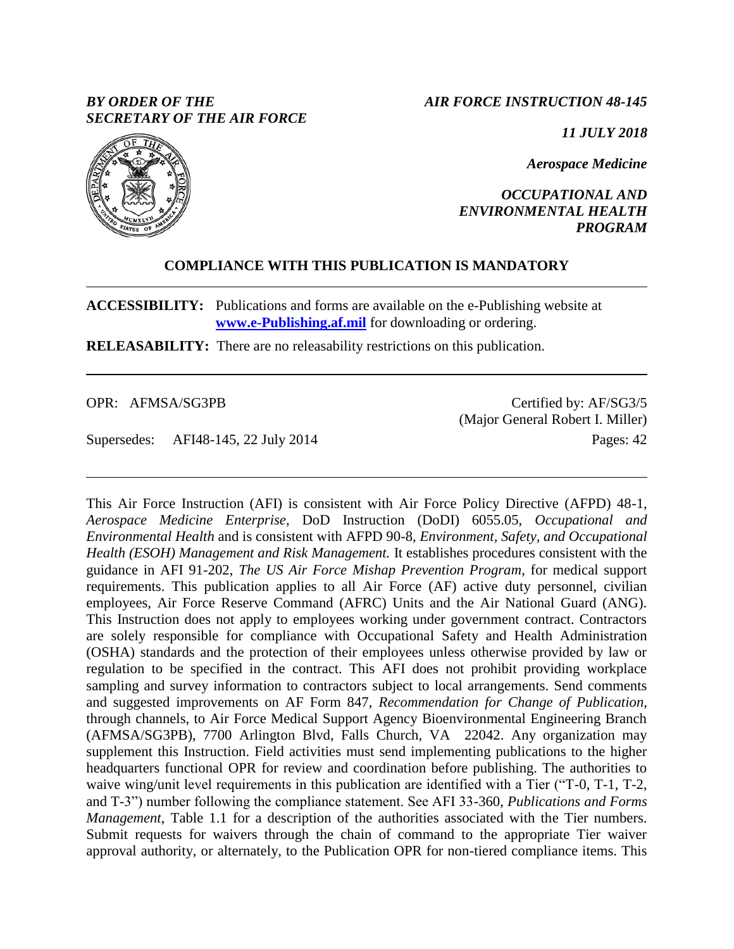# *BY ORDER OF THE SECRETARY OF THE AIR FORCE*

*AIR FORCE INSTRUCTION 48-145*

*11 JULY 2018*

*Aerospace Medicine*

*OCCUPATIONAL AND ENVIRONMENTAL HEALTH PROGRAM*

# **COMPLIANCE WITH THIS PUBLICATION IS MANDATORY**

**ACCESSIBILITY:** Publications and forms are available on the e-Publishing website at **[www.e-Publishing.af.mil](http://www.e-publishing.af.mil/)** for downloading or ordering.

**RELEASABILITY:** There are no releasability restrictions on this publication.

OPR: AFMSA/SG3PB

Supersedes: AFI48-145, 22 July 2014

Certified by: AF/SG3/5 (Major General Robert I. Miller) Pages: 42

This Air Force Instruction (AFI) is consistent with Air Force Policy Directive (AFPD) 48-1, *Aerospace Medicine Enterprise*, DoD Instruction (DoDI) 6055.05, *Occupational and Environmental Health* and is consistent with AFPD 90-8, *Environment, Safety, and Occupational Health (ESOH) Management and Risk Management.* It establishes procedures consistent with the guidance in AFI 91-202, *The US Air Force Mishap Prevention Program*, for medical support requirements. This publication applies to all Air Force (AF) active duty personnel, civilian employees, Air Force Reserve Command (AFRC) Units and the Air National Guard (ANG). This Instruction does not apply to employees working under government contract. Contractors are solely responsible for compliance with Occupational Safety and Health Administration (OSHA) standards and the protection of their employees unless otherwise provided by law or regulation to be specified in the contract. This AFI does not prohibit providing workplace sampling and survey information to contractors subject to local arrangements. Send comments and suggested improvements on AF Form 847, *Recommendation for Change of Publication*, through channels, to Air Force Medical Support Agency Bioenvironmental Engineering Branch (AFMSA/SG3PB), 7700 Arlington Blvd, Falls Church, VA 22042. Any organization may supplement this Instruction. Field activities must send implementing publications to the higher headquarters functional OPR for review and coordination before publishing. The authorities to waive wing/unit level requirements in this publication are identified with a Tier ("T-0, T-1, T-2, and T-3") number following the compliance statement. See AFI 33-360, *Publications and Forms Management*, Table 1.1 for a description of the authorities associated with the Tier numbers. Submit requests for waivers through the chain of command to the appropriate Tier waiver approval authority, or alternately, to the Publication OPR for non-tiered compliance items. This

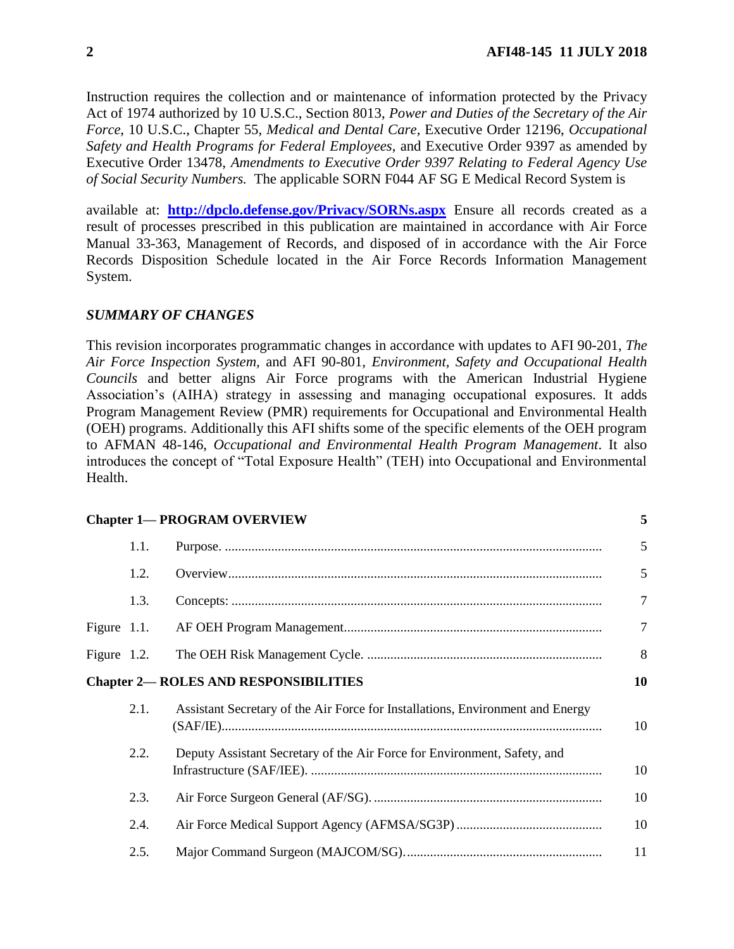Instruction requires the collection and or maintenance of information protected by the Privacy Act of 1974 authorized by 10 U.S.C., Section 8013, *Power and Duties of the Secretary of the Air Force*, 10 U.S.C., Chapter 55, *Medical and Dental Care*, Executive Order 12196, *Occupational Safety and Health Programs for Federal Employees*, and Executive Order 9397 as amended by Executive Order 13478, *Amendments to Executive Order 9397 Relating to Federal Agency Use of Social Security Numbers.* The applicable SORN F044 AF SG E Medical Record System is

available at: **<http://dpclo.defense.gov/Privacy/SORNs.aspx>** Ensure all records created as a result of processes prescribed in this publication are maintained in accordance with Air Force Manual 33-363, Management of Records, and disposed of in accordance with the Air Force Records Disposition Schedule located in the Air Force Records Information Management System.

## *SUMMARY OF CHANGES*

This revision incorporates programmatic changes in accordance with updates to AFI 90-201, *The Air Force Inspection System,* and AFI 90-801, *Environment, Safety and Occupational Health Councils* and better aligns Air Force programs with the American Industrial Hygiene Association's (AIHA) strategy in assessing and managing occupational exposures. It adds Program Management Review (PMR) requirements for Occupational and Environmental Health (OEH) programs. Additionally this AFI shifts some of the specific elements of the OEH program to AFMAN 48-146, *Occupational and Environmental Health Program Management*. It also introduces the concept of "Total Exposure Health" (TEH) into Occupational and Environmental Health.

|                |      | <b>Chapter 1— PROGRAM OVERVIEW</b>                                             | 5              |
|----------------|------|--------------------------------------------------------------------------------|----------------|
|                | 1.1. |                                                                                | 5              |
|                | 1.2. |                                                                                | 5              |
|                | 1.3. |                                                                                | $\overline{7}$ |
| Figure $1.1$ . |      |                                                                                | $\overline{7}$ |
| Figure $1.2$ . |      |                                                                                | 8              |
|                |      | <b>Chapter 2- ROLES AND RESPONSIBILITIES</b>                                   | 10             |
|                | 2.1. | Assistant Secretary of the Air Force for Installations, Environment and Energy | 10             |
|                | 2.2. | Deputy Assistant Secretary of the Air Force for Environment, Safety, and       | 10             |
|                | 2.3. |                                                                                | 10             |
|                | 2.4. |                                                                                | 10             |
|                | 2.5. |                                                                                | 11             |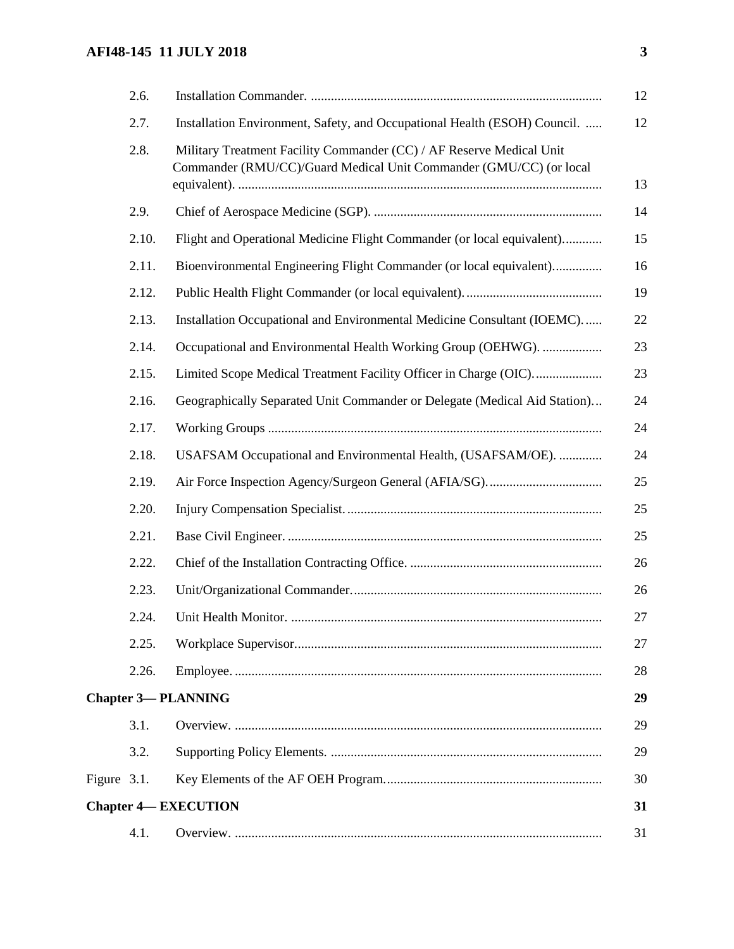# **AFI48-145 11 JULY 2018 3**

|             | 2.6.  |                                                                                                                                            | 12 |
|-------------|-------|--------------------------------------------------------------------------------------------------------------------------------------------|----|
|             | 2.7.  | Installation Environment, Safety, and Occupational Health (ESOH) Council.                                                                  | 12 |
|             | 2.8.  | Military Treatment Facility Commander (CC) / AF Reserve Medical Unit<br>Commander (RMU/CC)/Guard Medical Unit Commander (GMU/CC) (or local | 13 |
|             | 2.9.  |                                                                                                                                            | 14 |
|             | 2.10. | Flight and Operational Medicine Flight Commander (or local equivalent)                                                                     | 15 |
|             | 2.11. | Bioenvironmental Engineering Flight Commander (or local equivalent)                                                                        | 16 |
|             | 2.12. |                                                                                                                                            | 19 |
|             | 2.13. | Installation Occupational and Environmental Medicine Consultant (IOEMC)                                                                    | 22 |
|             | 2.14. | Occupational and Environmental Health Working Group (OEHWG).                                                                               | 23 |
|             | 2.15. | Limited Scope Medical Treatment Facility Officer in Charge (OIC)                                                                           | 23 |
|             | 2.16. | Geographically Separated Unit Commander or Delegate (Medical Aid Station)                                                                  | 24 |
|             | 2.17. |                                                                                                                                            | 24 |
|             | 2.18. | USAFSAM Occupational and Environmental Health, (USAFSAM/OE).                                                                               | 24 |
|             | 2.19. |                                                                                                                                            | 25 |
|             | 2.20. |                                                                                                                                            | 25 |
|             | 2.21. |                                                                                                                                            | 25 |
|             | 2.22. |                                                                                                                                            | 26 |
|             | 2.23. |                                                                                                                                            | 26 |
|             | 2.24. |                                                                                                                                            | 27 |
|             | 2.25. |                                                                                                                                            | 27 |
|             | 2.26. |                                                                                                                                            | 28 |
|             |       | <b>Chapter 3-PLANNING</b>                                                                                                                  | 29 |
|             | 3.1.  |                                                                                                                                            | 29 |
|             | 3.2.  |                                                                                                                                            | 29 |
| Figure 3.1. |       |                                                                                                                                            | 30 |
|             |       | <b>Chapter 4— EXECUTION</b>                                                                                                                | 31 |
|             | 4.1.  |                                                                                                                                            | 31 |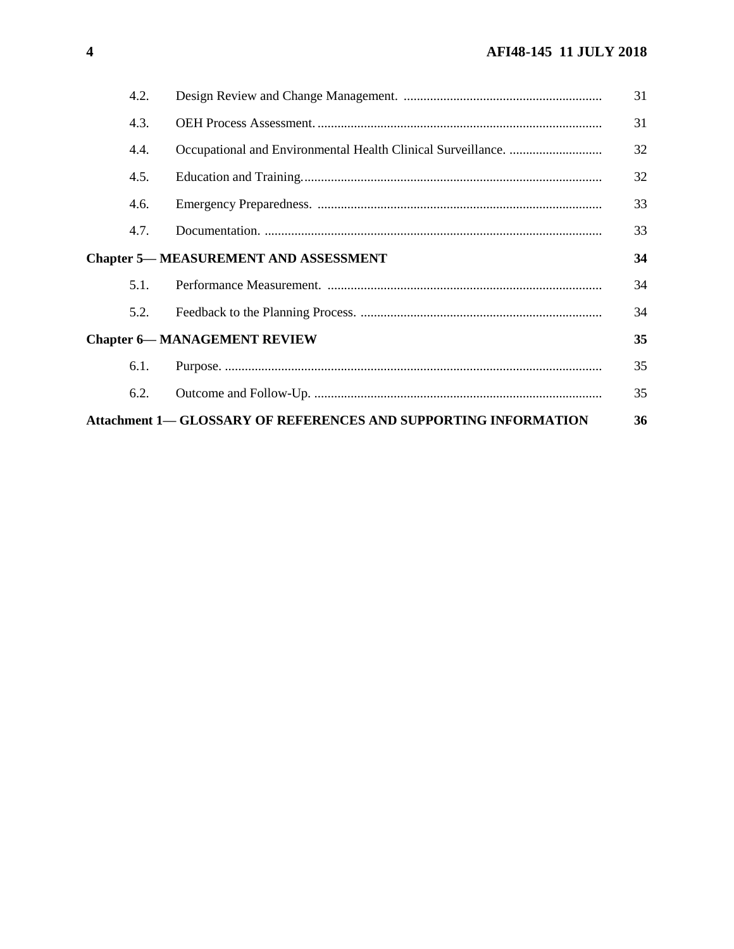| 4.2.                                                                   |  | 31 |  |  |
|------------------------------------------------------------------------|--|----|--|--|
| 4.3.                                                                   |  | 31 |  |  |
| 4.4.                                                                   |  | 32 |  |  |
| 4.5.                                                                   |  | 32 |  |  |
| 4.6.                                                                   |  | 33 |  |  |
| 4.7.                                                                   |  | 33 |  |  |
| <b>Chapter 5— MEASUREMENT AND ASSESSMENT</b>                           |  |    |  |  |
| 5.1.                                                                   |  | 34 |  |  |
| 5.2.                                                                   |  | 34 |  |  |
| <b>Chapter 6-MANAGEMENT REVIEW</b>                                     |  |    |  |  |
| 6.1.                                                                   |  | 35 |  |  |
| 6.2.                                                                   |  | 35 |  |  |
| <b>Attachment 1— GLOSSARY OF REFERENCES AND SUPPORTING INFORMATION</b> |  |    |  |  |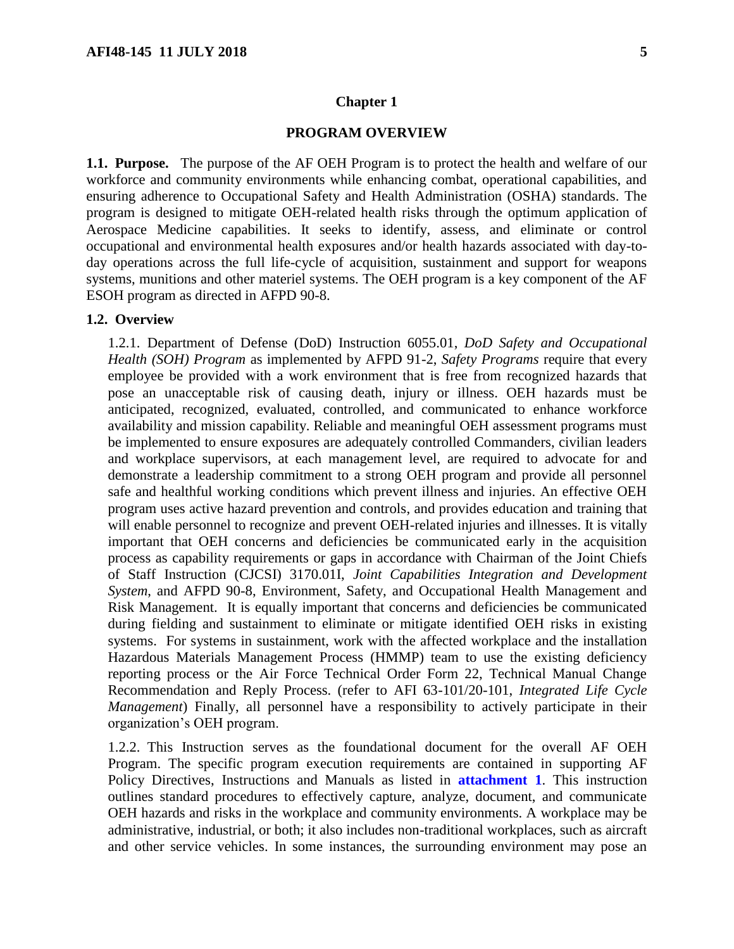#### **Chapter 1**

#### **PROGRAM OVERVIEW**

<span id="page-4-1"></span><span id="page-4-0"></span>**1.1. Purpose.** The purpose of the AF OEH Program is to protect the health and welfare of our workforce and community environments while enhancing combat, operational capabilities, and ensuring adherence to Occupational Safety and Health Administration (OSHA) standards. The program is designed to mitigate OEH-related health risks through the optimum application of Aerospace Medicine capabilities. It seeks to identify, assess, and eliminate or control occupational and environmental health exposures and/or health hazards associated with day-today operations across the full life-cycle of acquisition, sustainment and support for weapons systems, munitions and other materiel systems. The OEH program is a key component of the AF ESOH program as directed in AFPD 90-8.

#### <span id="page-4-2"></span>**1.2. Overview**

1.2.1. Department of Defense (DoD) Instruction 6055.01, *DoD Safety and Occupational Health (SOH) Program* as implemented by AFPD 91-2, *Safety Programs* require that every employee be provided with a work environment that is free from recognized hazards that pose an unacceptable risk of causing death, injury or illness. OEH hazards must be anticipated, recognized, evaluated, controlled, and communicated to enhance workforce availability and mission capability. Reliable and meaningful OEH assessment programs must be implemented to ensure exposures are adequately controlled Commanders, civilian leaders and workplace supervisors, at each management level, are required to advocate for and demonstrate a leadership commitment to a strong OEH program and provide all personnel safe and healthful working conditions which prevent illness and injuries. An effective OEH program uses active hazard prevention and controls, and provides education and training that will enable personnel to recognize and prevent OEH-related injuries and illnesses. It is vitally important that OEH concerns and deficiencies be communicated early in the acquisition process as capability requirements or gaps in accordance with Chairman of the Joint Chiefs of Staff Instruction (CJCSI) 3170.01I, *Joint Capabilities Integration and Development System*, and AFPD 90-8, Environment, Safety, and Occupational Health Management and Risk Management. It is equally important that concerns and deficiencies be communicated during fielding and sustainment to eliminate or mitigate identified OEH risks in existing systems. For systems in sustainment, work with the affected workplace and the installation Hazardous Materials Management Process (HMMP) team to use the existing deficiency reporting process or the Air Force Technical Order Form 22, Technical Manual Change Recommendation and Reply Process. (refer to AFI 63-101/20-101, *Integrated Life Cycle Management*) Finally, all personnel have a responsibility to actively participate in their organization's OEH program.

1.2.2. This Instruction serves as the foundational document for the overall AF OEH Program. The specific program execution requirements are contained in supporting AF Policy Directives, Instructions and Manuals as listed in **[attachment](#page-35-0) 1**. This instruction outlines standard procedures to effectively capture, analyze, document, and communicate OEH hazards and risks in the workplace and community environments. A workplace may be administrative, industrial, or both; it also includes non-traditional workplaces, such as aircraft and other service vehicles. In some instances, the surrounding environment may pose an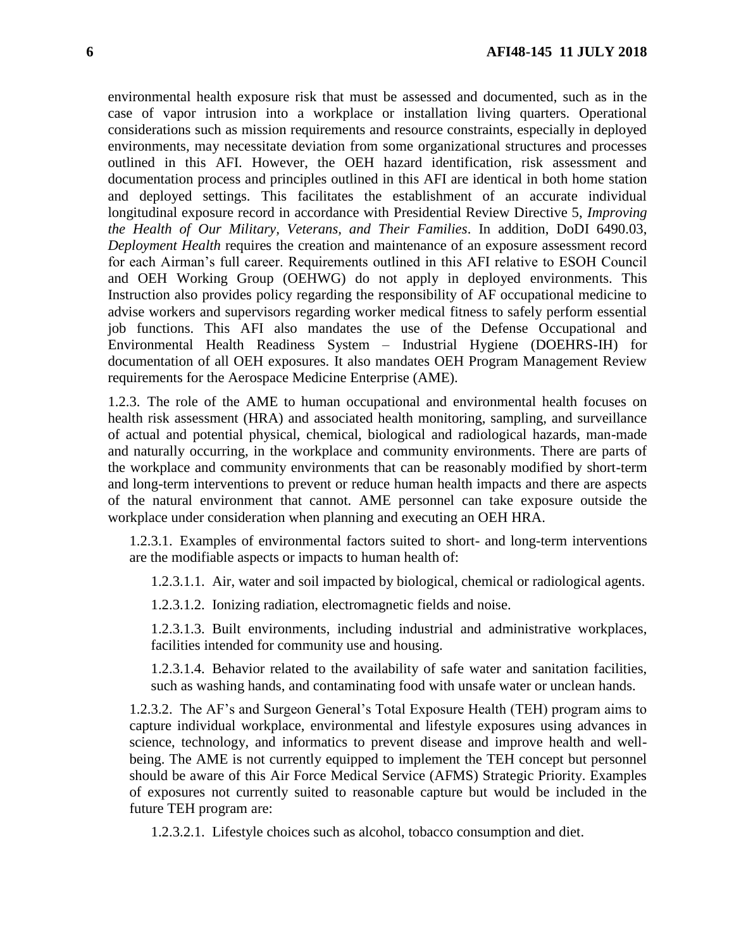environmental health exposure risk that must be assessed and documented, such as in the case of vapor intrusion into a workplace or installation living quarters. Operational considerations such as mission requirements and resource constraints, especially in deployed environments, may necessitate deviation from some organizational structures and processes outlined in this AFI. However, the OEH hazard identification, risk assessment and documentation process and principles outlined in this AFI are identical in both home station and deployed settings. This facilitates the establishment of an accurate individual longitudinal exposure record in accordance with Presidential Review Directive 5, *Improving the Health of Our Military, Veterans, and Their Families*. In addition, DoDI 6490.03, *Deployment Health* requires the creation and maintenance of an exposure assessment record for each Airman's full career. Requirements outlined in this AFI relative to ESOH Council and OEH Working Group (OEHWG) do not apply in deployed environments. This Instruction also provides policy regarding the responsibility of AF occupational medicine to advise workers and supervisors regarding worker medical fitness to safely perform essential job functions. This AFI also mandates the use of the Defense Occupational and Environmental Health Readiness System – Industrial Hygiene (DOEHRS-IH) for documentation of all OEH exposures. It also mandates OEH Program Management Review requirements for the Aerospace Medicine Enterprise (AME).

1.2.3. The role of the AME to human occupational and environmental health focuses on health risk assessment (HRA) and associated health monitoring, sampling, and surveillance of actual and potential physical, chemical, biological and radiological hazards, man-made and naturally occurring, in the workplace and community environments. There are parts of the workplace and community environments that can be reasonably modified by short-term and long-term interventions to prevent or reduce human health impacts and there are aspects of the natural environment that cannot. AME personnel can take exposure outside the workplace under consideration when planning and executing an OEH HRA.

1.2.3.1. Examples of environmental factors suited to short- and long-term interventions are the modifiable aspects or impacts to human health of:

1.2.3.1.1. Air, water and soil impacted by biological, chemical or radiological agents.

1.2.3.1.2. Ionizing radiation, electromagnetic fields and noise.

1.2.3.1.3. Built environments, including industrial and administrative workplaces, facilities intended for community use and housing.

1.2.3.1.4. Behavior related to the availability of safe water and sanitation facilities, such as washing hands, and contaminating food with unsafe water or unclean hands.

1.2.3.2. The AF's and Surgeon General's Total Exposure Health (TEH) program aims to capture individual workplace, environmental and lifestyle exposures using advances in science, technology, and informatics to prevent disease and improve health and wellbeing. The AME is not currently equipped to implement the TEH concept but personnel should be aware of this Air Force Medical Service (AFMS) Strategic Priority. Examples of exposures not currently suited to reasonable capture but would be included in the future TEH program are:

1.2.3.2.1. Lifestyle choices such as alcohol, tobacco consumption and diet.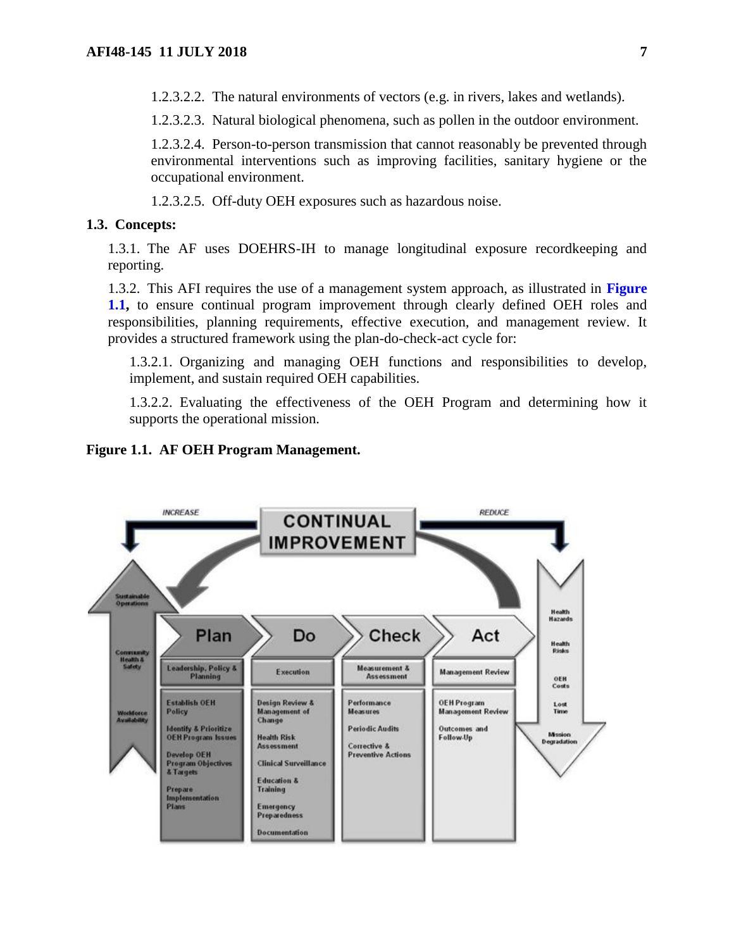1.2.3.2.2. The natural environments of vectors (e.g. in rivers, lakes and wetlands).

1.2.3.2.3. Natural biological phenomena, such as pollen in the outdoor environment.

1.2.3.2.4. Person-to-person transmission that cannot reasonably be prevented through environmental interventions such as improving facilities, sanitary hygiene or the occupational environment.

1.2.3.2.5. Off-duty OEH exposures such as hazardous noise.

#### <span id="page-6-0"></span>**1.3. Concepts:**

1.3.1. The AF uses DOEHRS-IH to manage longitudinal exposure recordkeeping and reporting.

1.3.2. This AFI requires the use of a management system approach, as illustrated in **[Figure](#page-6-1) [1.1,](#page-6-1)** to ensure continual program improvement through clearly defined OEH roles and responsibilities, planning requirements, effective execution, and management review. It provides a structured framework using the plan-do-check-act cycle for:

1.3.2.1. Organizing and managing OEH functions and responsibilities to develop, implement, and sustain required OEH capabilities.

1.3.2.2. Evaluating the effectiveness of the OEH Program and determining how it supports the operational mission.

#### <span id="page-6-1"></span>**Figure 1.1. AF OEH Program Management.**

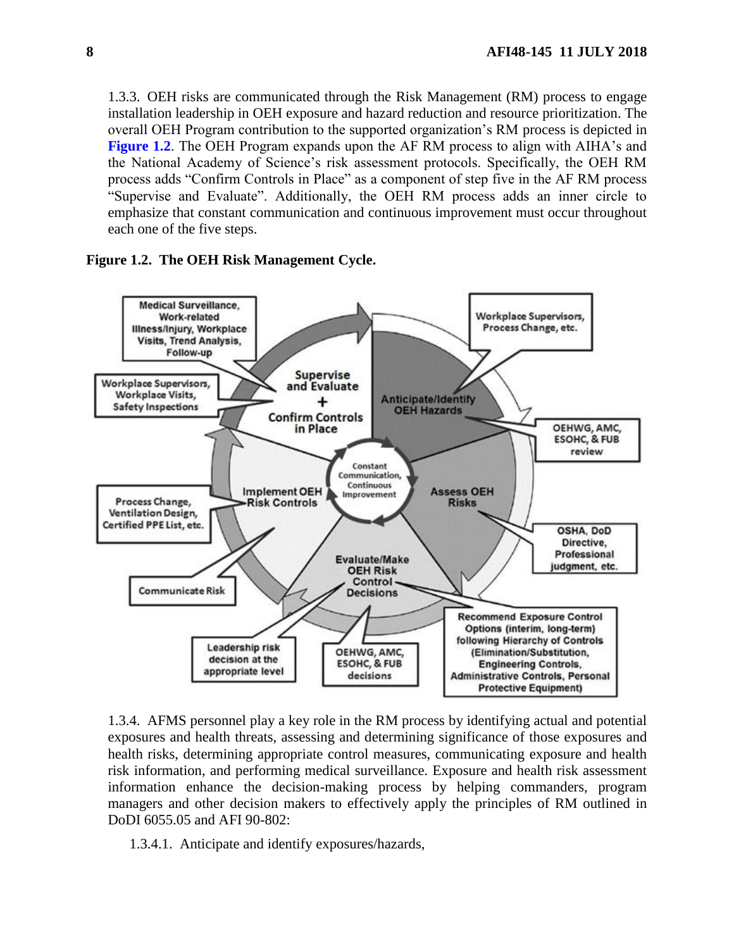1.3.3. OEH risks are communicated through the Risk Management (RM) process to engage installation leadership in OEH exposure and hazard reduction and resource prioritization. The overall OEH Program contribution to the supported organization's RM process is depicted in **[Figure](#page-7-0) 1.2**. The OEH Program expands upon the AF RM process to align with AIHA's and the National Academy of Science's risk assessment protocols. Specifically, the OEH RM process adds "Confirm Controls in Place" as a component of step five in the AF RM process "Supervise and Evaluate". Additionally, the OEH RM process adds an inner circle to emphasize that constant communication and continuous improvement must occur throughout each one of the five steps.

<span id="page-7-0"></span>



1.3.4. AFMS personnel play a key role in the RM process by identifying actual and potential exposures and health threats, assessing and determining significance of those exposures and health risks, determining appropriate control measures, communicating exposure and health risk information, and performing medical surveillance. Exposure and health risk assessment information enhance the decision-making process by helping commanders, program managers and other decision makers to effectively apply the principles of RM outlined in DoDI 6055.05 and AFI 90-802:

1.3.4.1. Anticipate and identify exposures/hazards,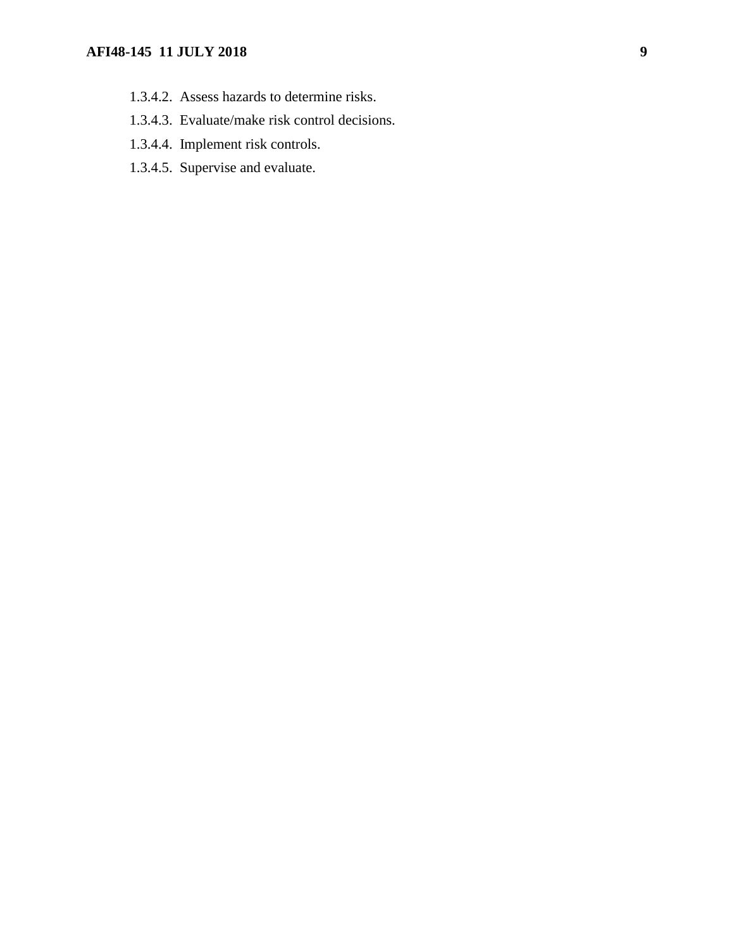# **AFI48-145 11 JULY 2018 9**

- 1.3.4.2. Assess hazards to determine risks.
- 1.3.4.3. Evaluate/make risk control decisions.
- 1.3.4.4. Implement risk controls.
- 1.3.4.5. Supervise and evaluate.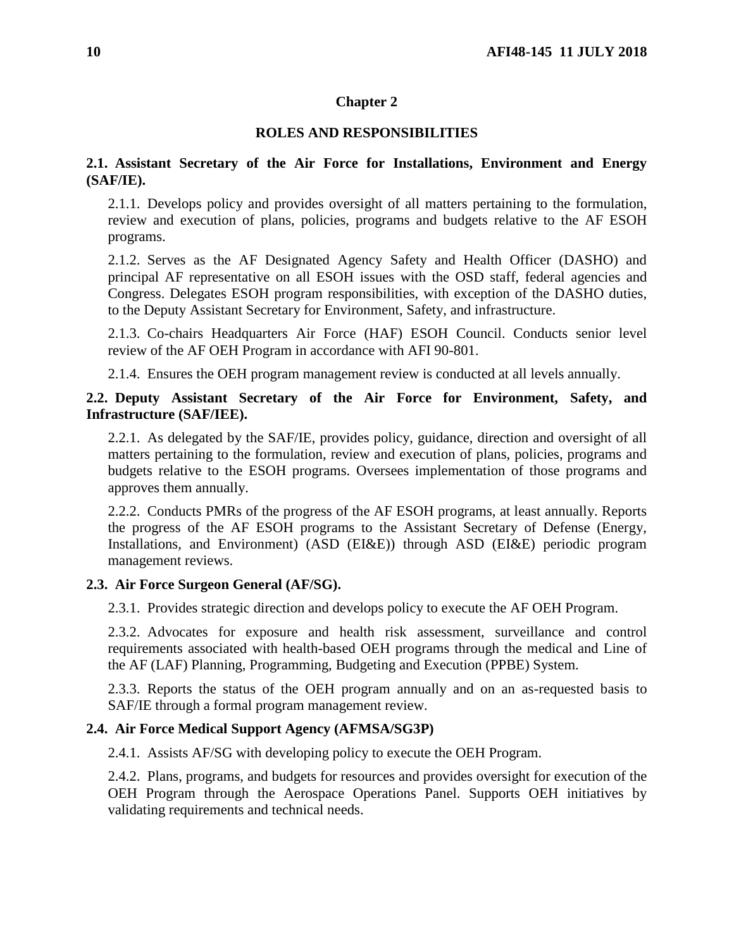# **Chapter 2**

# **ROLES AND RESPONSIBILITIES**

# <span id="page-9-1"></span><span id="page-9-0"></span>**2.1. Assistant Secretary of the Air Force for Installations, Environment and Energy (SAF/IE).**

2.1.1. Develops policy and provides oversight of all matters pertaining to the formulation, review and execution of plans, policies, programs and budgets relative to the AF ESOH programs.

2.1.2. Serves as the AF Designated Agency Safety and Health Officer (DASHO) and principal AF representative on all ESOH issues with the OSD staff, federal agencies and Congress. Delegates ESOH program responsibilities, with exception of the DASHO duties, to the Deputy Assistant Secretary for Environment, Safety, and infrastructure.

2.1.3. Co-chairs Headquarters Air Force (HAF) ESOH Council. Conducts senior level review of the AF OEH Program in accordance with AFI 90-801.

2.1.4. Ensures the OEH program management review is conducted at all levels annually.

# <span id="page-9-2"></span>**2.2. Deputy Assistant Secretary of the Air Force for Environment, Safety, and Infrastructure (SAF/IEE).**

2.2.1. As delegated by the SAF/IE, provides policy, guidance, direction and oversight of all matters pertaining to the formulation, review and execution of plans, policies, programs and budgets relative to the ESOH programs. Oversees implementation of those programs and approves them annually.

2.2.2. Conducts PMRs of the progress of the AF ESOH programs, at least annually. Reports the progress of the AF ESOH programs to the Assistant Secretary of Defense (Energy, Installations, and Environment) (ASD (EI&E)) through ASD (EI&E) periodic program management reviews.

## <span id="page-9-3"></span>**2.3. Air Force Surgeon General (AF/SG).**

2.3.1. Provides strategic direction and develops policy to execute the AF OEH Program.

2.3.2. Advocates for exposure and health risk assessment, surveillance and control requirements associated with health-based OEH programs through the medical and Line of the AF (LAF) Planning, Programming, Budgeting and Execution (PPBE) System.

2.3.3. Reports the status of the OEH program annually and on an as-requested basis to SAF/IE through a formal program management review.

# <span id="page-9-4"></span>**2.4. Air Force Medical Support Agency (AFMSA/SG3P)**

2.4.1. Assists AF/SG with developing policy to execute the OEH Program.

2.4.2. Plans, programs, and budgets for resources and provides oversight for execution of the OEH Program through the Aerospace Operations Panel. Supports OEH initiatives by validating requirements and technical needs.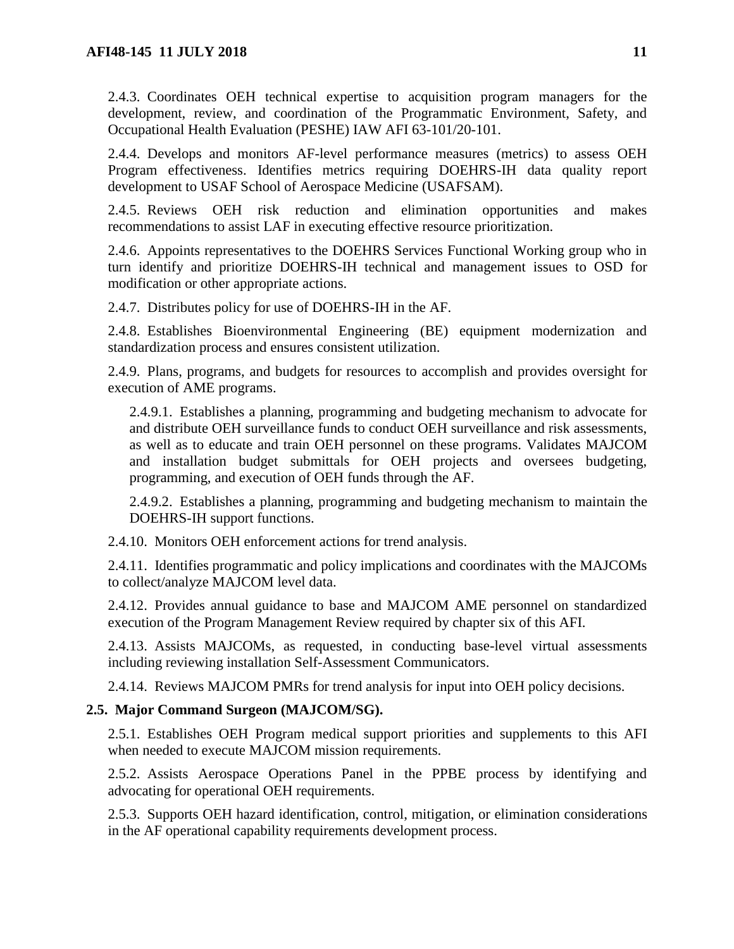2.4.3. Coordinates OEH technical expertise to acquisition program managers for the development, review, and coordination of the Programmatic Environment, Safety, and Occupational Health Evaluation (PESHE) IAW AFI 63-101/20-101.

2.4.4. Develops and monitors AF-level performance measures (metrics) to assess OEH Program effectiveness. Identifies metrics requiring DOEHRS-IH data quality report development to USAF School of Aerospace Medicine (USAFSAM).

2.4.5. Reviews OEH risk reduction and elimination opportunities and makes recommendations to assist LAF in executing effective resource prioritization.

2.4.6. Appoints representatives to the DOEHRS Services Functional Working group who in turn identify and prioritize DOEHRS-IH technical and management issues to OSD for modification or other appropriate actions.

2.4.7. Distributes policy for use of DOEHRS-IH in the AF.

2.4.8. Establishes Bioenvironmental Engineering (BE) equipment modernization and standardization process and ensures consistent utilization.

2.4.9. Plans, programs, and budgets for resources to accomplish and provides oversight for execution of AME programs.

2.4.9.1. Establishes a planning, programming and budgeting mechanism to advocate for and distribute OEH surveillance funds to conduct OEH surveillance and risk assessments, as well as to educate and train OEH personnel on these programs. Validates MAJCOM and installation budget submittals for OEH projects and oversees budgeting, programming, and execution of OEH funds through the AF.

2.4.9.2. Establishes a planning, programming and budgeting mechanism to maintain the DOEHRS-IH support functions.

2.4.10. Monitors OEH enforcement actions for trend analysis.

2.4.11. Identifies programmatic and policy implications and coordinates with the MAJCOMs to collect/analyze MAJCOM level data.

2.4.12. Provides annual guidance to base and MAJCOM AME personnel on standardized execution of the Program Management Review required by chapter six of this AFI.

2.4.13. Assists MAJCOMs, as requested, in conducting base-level virtual assessments including reviewing installation Self-Assessment Communicators.

2.4.14. Reviews MAJCOM PMRs for trend analysis for input into OEH policy decisions.

# <span id="page-10-0"></span>**2.5. Major Command Surgeon (MAJCOM/SG).**

2.5.1. Establishes OEH Program medical support priorities and supplements to this AFI when needed to execute MAJCOM mission requirements.

2.5.2. Assists Aerospace Operations Panel in the PPBE process by identifying and advocating for operational OEH requirements.

2.5.3. Supports OEH hazard identification, control, mitigation, or elimination considerations in the AF operational capability requirements development process.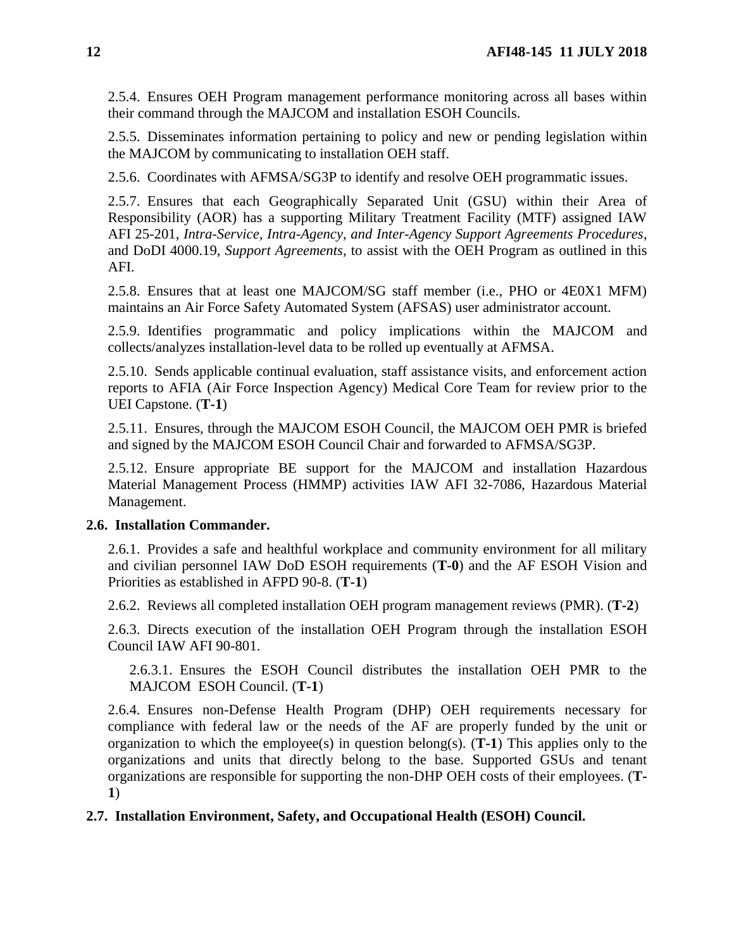2.5.4. Ensures OEH Program management performance monitoring across all bases within their command through the MAJCOM and installation ESOH Councils.

2.5.5. Disseminates information pertaining to policy and new or pending legislation within the MAJCOM by communicating to installation OEH staff.

2.5.6. Coordinates with AFMSA/SG3P to identify and resolve OEH programmatic issues.

2.5.7. Ensures that each Geographically Separated Unit (GSU) within their Area of Responsibility (AOR) has a supporting Military Treatment Facility (MTF) assigned IAW AFI 25-201, *Intra-Service, Intra-Agency, and Inter-Agency Support Agreements Procedures*, and DoDI 4000.19, *Support Agreements*, to assist with the OEH Program as outlined in this AFI.

2.5.8. Ensures that at least one MAJCOM/SG staff member (i.e., PHO or 4E0X1 MFM) maintains an Air Force Safety Automated System (AFSAS) user administrator account.

2.5.9. Identifies programmatic and policy implications within the MAJCOM and collects/analyzes installation-level data to be rolled up eventually at AFMSA.

2.5.10. Sends applicable continual evaluation, staff assistance visits, and enforcement action reports to AFIA (Air Force Inspection Agency) Medical Core Team for review prior to the UEI Capstone. (**T-1**)

2.5.11. Ensures, through the MAJCOM ESOH Council, the MAJCOM OEH PMR is briefed and signed by the MAJCOM ESOH Council Chair and forwarded to AFMSA/SG3P.

2.5.12. Ensure appropriate BE support for the MAJCOM and installation Hazardous Material Management Process (HMMP) activities IAW AFI 32-7086, Hazardous Material Management.

#### <span id="page-11-0"></span>**2.6. Installation Commander.**

2.6.1. Provides a safe and healthful workplace and community environment for all military and civilian personnel IAW DoD ESOH requirements (**T-0**) and the AF ESOH Vision and Priorities as established in AFPD 90-8. (**T-1**)

2.6.2. Reviews all completed installation OEH program management reviews (PMR). (**T-2**)

2.6.3. Directs execution of the installation OEH Program through the installation ESOH Council IAW AFI 90-801.

2.6.3.1. Ensures the ESOH Council distributes the installation OEH PMR to the MAJCOM ESOH Council. (**T-1**)

2.6.4. Ensures non-Defense Health Program (DHP) OEH requirements necessary for compliance with federal law or the needs of the AF are properly funded by the unit or organization to which the employee(s) in question belong(s). (**T-1**) This applies only to the organizations and units that directly belong to the base. Supported GSUs and tenant organizations are responsible for supporting the non-DHP OEH costs of their employees. (**T-1**)

## <span id="page-11-1"></span>**2.7. Installation Environment, Safety, and Occupational Health (ESOH) Council.**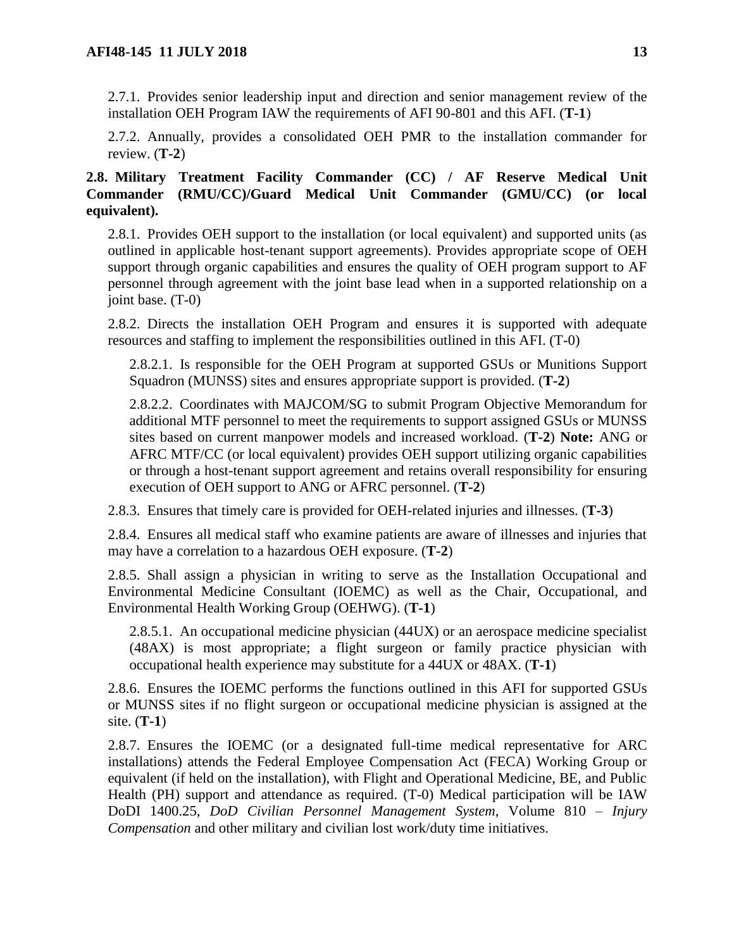2.7.1. Provides senior leadership input and direction and senior management review of the installation OEH Program IAW the requirements of AFI 90-801 and this AFI. (**T-1**)

2.7.2. Annually, provides a consolidated OEH PMR to the installation commander for review. (**T-2**)

# <span id="page-12-0"></span>**2.8. Military Treatment Facility Commander (CC) / AF Reserve Medical Unit Commander (RMU/CC)/Guard Medical Unit Commander (GMU/CC) (or local equivalent).**

2.8.1. Provides OEH support to the installation (or local equivalent) and supported units (as outlined in applicable host-tenant support agreements). Provides appropriate scope of OEH support through organic capabilities and ensures the quality of OEH program support to AF personnel through agreement with the joint base lead when in a supported relationship on a joint base. (T-0)

2.8.2. Directs the installation OEH Program and ensures it is supported with adequate resources and staffing to implement the responsibilities outlined in this AFI. (T-0)

2.8.2.1. Is responsible for the OEH Program at supported GSUs or Munitions Support Squadron (MUNSS) sites and ensures appropriate support is provided. (**T-2**)

2.8.2.2. Coordinates with MAJCOM/SG to submit Program Objective Memorandum for additional MTF personnel to meet the requirements to support assigned GSUs or MUNSS sites based on current manpower models and increased workload. (**T-2**) **Note:** ANG or AFRC MTF/CC (or local equivalent) provides OEH support utilizing organic capabilities or through a host-tenant support agreement and retains overall responsibility for ensuring execution of OEH support to ANG or AFRC personnel. (**T-2**)

2.8.3. Ensures that timely care is provided for OEH-related injuries and illnesses. (**T-3**)

2.8.4. Ensures all medical staff who examine patients are aware of illnesses and injuries that may have a correlation to a hazardous OEH exposure. (**T-2**)

2.8.5. Shall assign a physician in writing to serve as the Installation Occupational and Environmental Medicine Consultant (IOEMC) as well as the Chair, Occupational, and Environmental Health Working Group (OEHWG). (**T-1**)

2.8.5.1. An occupational medicine physician (44UX) or an aerospace medicine specialist (48AX) is most appropriate; a flight surgeon or family practice physician with occupational health experience may substitute for a 44UX or 48AX. (**T-1**)

2.8.6. Ensures the IOEMC performs the functions outlined in this AFI for supported GSUs or MUNSS sites if no flight surgeon or occupational medicine physician is assigned at the site. (**T-1**)

2.8.7. Ensures the IOEMC (or a designated full-time medical representative for ARC installations) attends the Federal Employee Compensation Act (FECA) Working Group or equivalent (if held on the installation), with Flight and Operational Medicine, BE, and Public Health (PH) support and attendance as required. (T-0) Medical participation will be IAW DoDI 1400.25, *DoD Civilian Personnel Management System*, Volume 810 – *Injury Compensation* and other military and civilian lost work/duty time initiatives.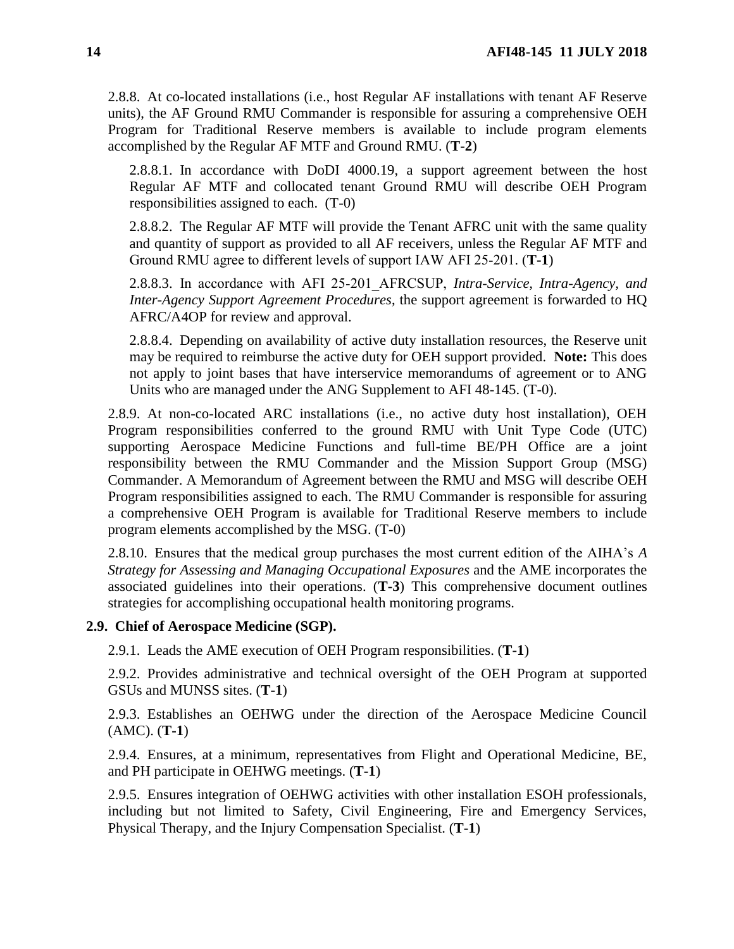2.8.8. At co-located installations (i.e., host Regular AF installations with tenant AF Reserve units), the AF Ground RMU Commander is responsible for assuring a comprehensive OEH Program for Traditional Reserve members is available to include program elements accomplished by the Regular AF MTF and Ground RMU. (**T-2**)

2.8.8.1. In accordance with DoDI 4000.19, a support agreement between the host Regular AF MTF and collocated tenant Ground RMU will describe OEH Program responsibilities assigned to each. (T-0)

2.8.8.2. The Regular AF MTF will provide the Tenant AFRC unit with the same quality and quantity of support as provided to all AF receivers, unless the Regular AF MTF and Ground RMU agree to different levels of support IAW AFI 25‐201. (**T-1**)

2.8.8.3. In accordance with AFI 25‐201\_AFRCSUP, *Intra-Service, Intra-Agency, and Inter-Agency Support Agreement Procedures*, the support agreement is forwarded to HQ AFRC/A4OP for review and approval.

2.8.8.4. Depending on availability of active duty installation resources, the Reserve unit may be required to reimburse the active duty for OEH support provided. **Note:** This does not apply to joint bases that have interservice memorandums of agreement or to ANG Units who are managed under the ANG Supplement to AFI 48-145. (T-0).

2.8.9. At non-co-located ARC installations (i.e., no active duty host installation), OEH Program responsibilities conferred to the ground RMU with Unit Type Code (UTC) supporting Aerospace Medicine Functions and full-time BE/PH Office are a joint responsibility between the RMU Commander and the Mission Support Group (MSG) Commander. A Memorandum of Agreement between the RMU and MSG will describe OEH Program responsibilities assigned to each. The RMU Commander is responsible for assuring a comprehensive OEH Program is available for Traditional Reserve members to include program elements accomplished by the MSG. (T-0)

2.8.10. Ensures that the medical group purchases the most current edition of the AIHA's *A Strategy for Assessing and Managing Occupational Exposures* and the AME incorporates the associated guidelines into their operations. (**T-3**) This comprehensive document outlines strategies for accomplishing occupational health monitoring programs.

## <span id="page-13-0"></span>**2.9. Chief of Aerospace Medicine (SGP).**

2.9.1. Leads the AME execution of OEH Program responsibilities. (**T-1**)

2.9.2. Provides administrative and technical oversight of the OEH Program at supported GSUs and MUNSS sites. (**T-1**)

2.9.3. Establishes an OEHWG under the direction of the Aerospace Medicine Council (AMC). (**T-1**)

2.9.4. Ensures, at a minimum, representatives from Flight and Operational Medicine, BE, and PH participate in OEHWG meetings. (**T-1**)

2.9.5. Ensures integration of OEHWG activities with other installation ESOH professionals, including but not limited to Safety, Civil Engineering, Fire and Emergency Services, Physical Therapy, and the Injury Compensation Specialist. (**T-1**)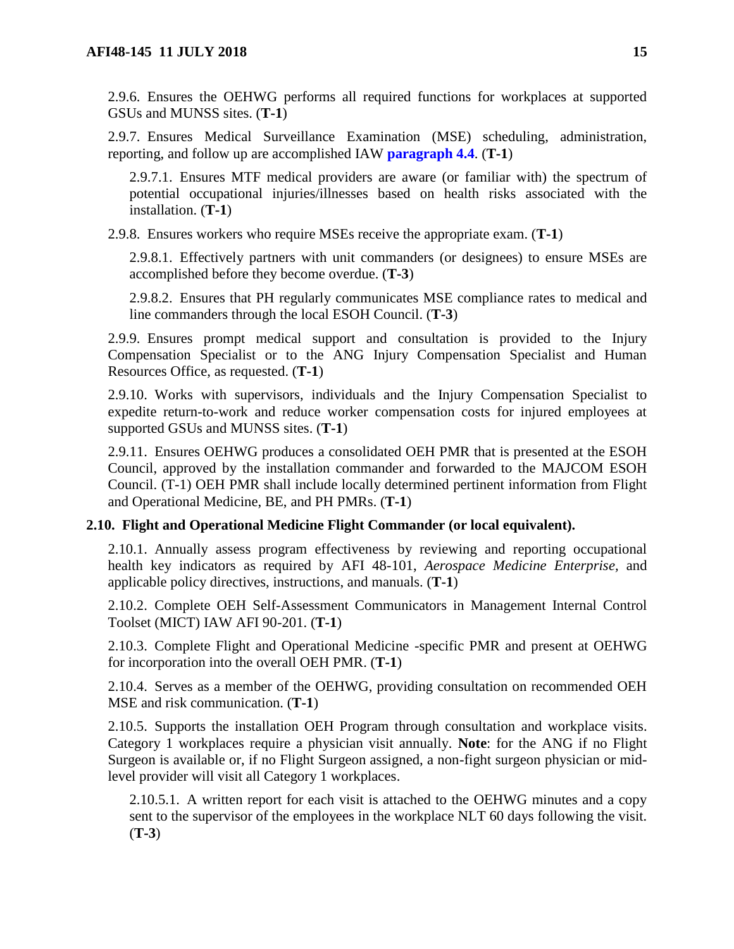2.9.6. Ensures the OEHWG performs all required functions for workplaces at supported GSUs and MUNSS sites. (**T-1**)

2.9.7. Ensures Medical Surveillance Examination (MSE) scheduling, administration, reporting, and follow up are accomplished IAW **[paragraph](#page-31-0) 4.4**. (**T-1**)

2.9.7.1. Ensures MTF medical providers are aware (or familiar with) the spectrum of potential occupational injuries/illnesses based on health risks associated with the installation. (**T-1**)

2.9.8. Ensures workers who require MSEs receive the appropriate exam. (**T-1**)

2.9.8.1. Effectively partners with unit commanders (or designees) to ensure MSEs are accomplished before they become overdue. (**T-3**)

2.9.8.2. Ensures that PH regularly communicates MSE compliance rates to medical and line commanders through the local ESOH Council. (**T-3**)

2.9.9. Ensures prompt medical support and consultation is provided to the Injury Compensation Specialist or to the ANG Injury Compensation Specialist and Human Resources Office, as requested. (**T-1**)

2.9.10. Works with supervisors, individuals and the Injury Compensation Specialist to expedite return-to-work and reduce worker compensation costs for injured employees at supported GSUs and MUNSS sites. (**T-1**)

2.9.11. Ensures OEHWG produces a consolidated OEH PMR that is presented at the ESOH Council, approved by the installation commander and forwarded to the MAJCOM ESOH Council. (T-1) OEH PMR shall include locally determined pertinent information from Flight and Operational Medicine, BE, and PH PMRs. (**T-1**)

## <span id="page-14-0"></span>**2.10. Flight and Operational Medicine Flight Commander (or local equivalent).**

2.10.1. Annually assess program effectiveness by reviewing and reporting occupational health key indicators as required by AFI 48-101, *Aerospace Medicine Enterprise,* and applicable policy directives, instructions, and manuals. (**T-1**)

2.10.2. Complete OEH Self-Assessment Communicators in Management Internal Control Toolset (MICT) IAW AFI 90-201. (**T-1**)

2.10.3. Complete Flight and Operational Medicine -specific PMR and present at OEHWG for incorporation into the overall OEH PMR. (**T-1**)

2.10.4. Serves as a member of the OEHWG, providing consultation on recommended OEH MSE and risk communication. (**T-1**)

2.10.5. Supports the installation OEH Program through consultation and workplace visits. Category 1 workplaces require a physician visit annually. **Note**: for the ANG if no Flight Surgeon is available or, if no Flight Surgeon assigned, a non-fight surgeon physician or midlevel provider will visit all Category 1 workplaces.

2.10.5.1. A written report for each visit is attached to the OEHWG minutes and a copy sent to the supervisor of the employees in the workplace NLT 60 days following the visit. (**T-3**)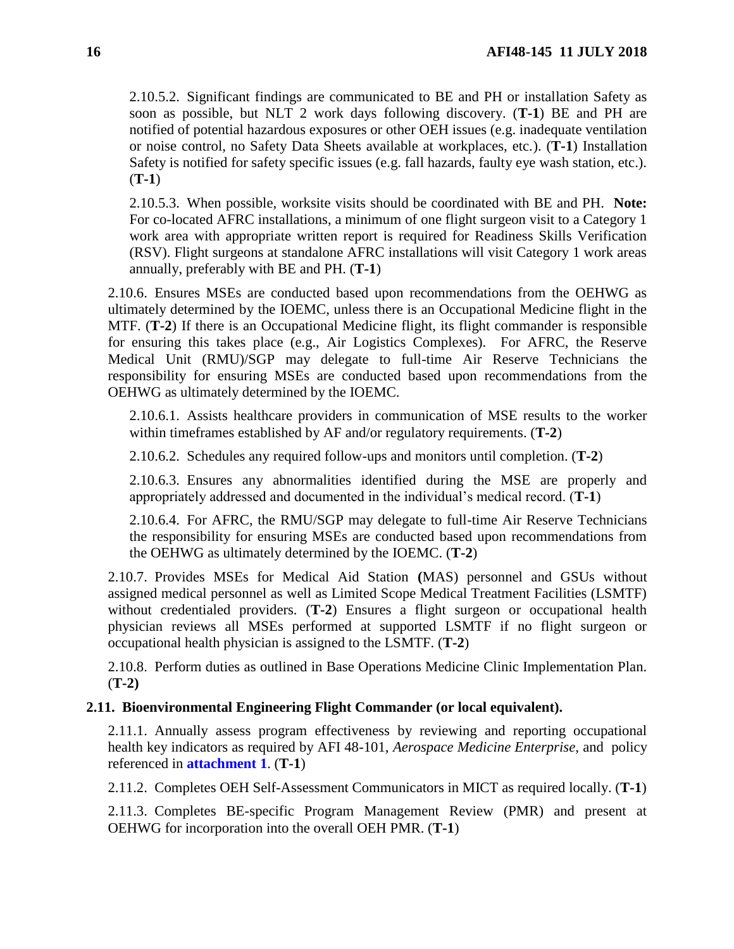2.10.5.2. Significant findings are communicated to BE and PH or installation Safety as soon as possible, but NLT 2 work days following discovery. (**T-1**) BE and PH are notified of potential hazardous exposures or other OEH issues (e.g. inadequate ventilation or noise control, no Safety Data Sheets available at workplaces, etc.). (**T-1**) Installation Safety is notified for safety specific issues (e.g. fall hazards, faulty eye wash station, etc.). (**T-1**)

2.10.5.3. When possible, worksite visits should be coordinated with BE and PH. **Note:**  For co-located AFRC installations, a minimum of one flight surgeon visit to a Category 1 work area with appropriate written report is required for Readiness Skills Verification (RSV). Flight surgeons at standalone AFRC installations will visit Category 1 work areas annually, preferably with BE and PH. (**T-1**)

2.10.6. Ensures MSEs are conducted based upon recommendations from the OEHWG as ultimately determined by the IOEMC, unless there is an Occupational Medicine flight in the MTF. (**T-2**) If there is an Occupational Medicine flight, its flight commander is responsible for ensuring this takes place (e.g., Air Logistics Complexes). For AFRC, the Reserve Medical Unit (RMU)/SGP may delegate to full-time Air Reserve Technicians the responsibility for ensuring MSEs are conducted based upon recommendations from the OEHWG as ultimately determined by the IOEMC.

2.10.6.1. Assists healthcare providers in communication of MSE results to the worker within timeframes established by AF and/or regulatory requirements. (**T-2**)

2.10.6.2. Schedules any required follow-ups and monitors until completion. (**T-2**)

2.10.6.3. Ensures any abnormalities identified during the MSE are properly and appropriately addressed and documented in the individual's medical record. (**T-1**)

2.10.6.4. For AFRC, the RMU/SGP may delegate to full-time Air Reserve Technicians the responsibility for ensuring MSEs are conducted based upon recommendations from the OEHWG as ultimately determined by the IOEMC. (**T-2**)

2.10.7. Provides MSEs for Medical Aid Station **(**MAS) personnel and GSUs without assigned medical personnel as well as Limited Scope Medical Treatment Facilities (LSMTF) without credentialed providers. (**T-2**) Ensures a flight surgeon or occupational health physician reviews all MSEs performed at supported LSMTF if no flight surgeon or occupational health physician is assigned to the LSMTF. (**T-2**)

2.10.8. Perform duties as outlined in Base Operations Medicine Clinic Implementation Plan. (**T-2)**

# <span id="page-15-0"></span>**2.11. Bioenvironmental Engineering Flight Commander (or local equivalent).**

2.11.1. Annually assess program effectiveness by reviewing and reporting occupational health key indicators as required by AFI 48-101, *Aerospace Medicine Enterprise,* and policy referenced in **[attachment](#page-35-0) 1**. (**T-1**)

2.11.2. Completes OEH Self-Assessment Communicators in MICT as required locally. (**T-1**)

2.11.3. Completes BE-specific Program Management Review (PMR) and present at OEHWG for incorporation into the overall OEH PMR. (**T-1**)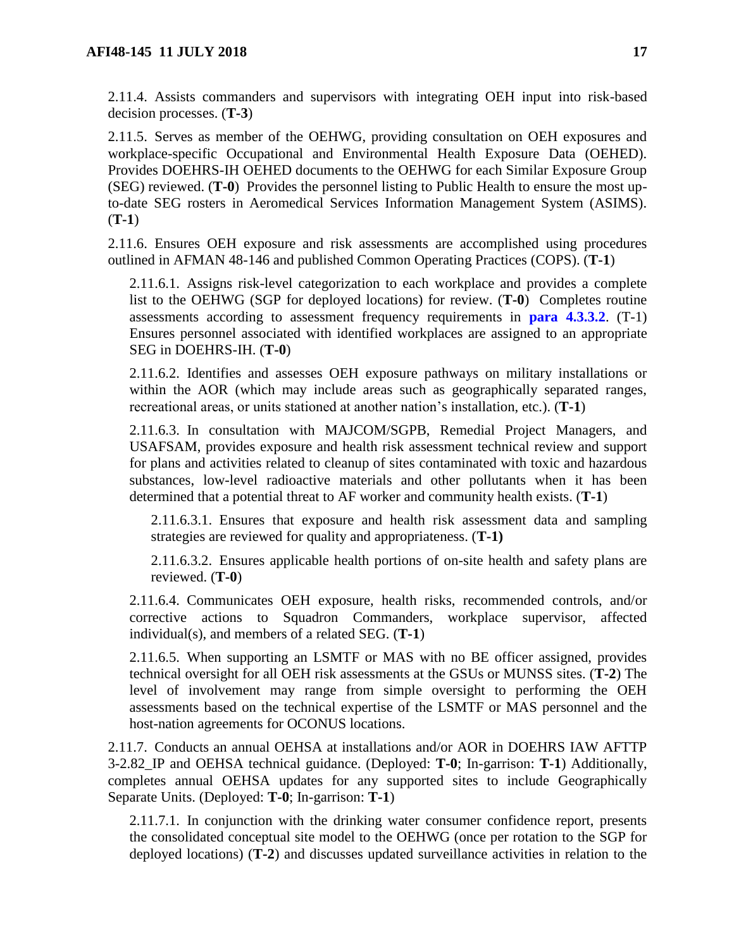2.11.4. Assists commanders and supervisors with integrating OEH input into risk-based decision processes. (**T-3**)

2.11.5. Serves as member of the OEHWG, providing consultation on OEH exposures and workplace-specific Occupational and Environmental Health Exposure Data (OEHED). Provides DOEHRS-IH OEHED documents to the OEHWG for each Similar Exposure Group (SEG) reviewed. (**T-0**) Provides the personnel listing to Public Health to ensure the most upto-date SEG rosters in Aeromedical Services Information Management System (ASIMS). (**T-1**)

2.11.6. Ensures OEH exposure and risk assessments are accomplished using procedures outlined in AFMAN 48-146 and published Common Operating Practices (COPS). (**T-1**)

2.11.6.1. Assigns risk-level categorization to each workplace and provides a complete list to the OEHWG (SGP for deployed locations) for review. (**T-0**) Completes routine assessments according to assessment frequency requirements in **para 4.3.3.2**. (T-1) Ensures personnel associated with identified workplaces are assigned to an appropriate SEG in DOEHRS-IH. (**T-0**)

2.11.6.2. Identifies and assesses OEH exposure pathways on military installations or within the AOR (which may include areas such as geographically separated ranges, recreational areas, or units stationed at another nation's installation, etc.). (**T-1**)

2.11.6.3. In consultation with MAJCOM/SGPB, Remedial Project Managers, and USAFSAM, provides exposure and health risk assessment technical review and support for plans and activities related to cleanup of sites contaminated with toxic and hazardous substances, low-level radioactive materials and other pollutants when it has been determined that a potential threat to AF worker and community health exists. (**T-1**)

2.11.6.3.1. Ensures that exposure and health risk assessment data and sampling strategies are reviewed for quality and appropriateness. (**T-1)**

2.11.6.3.2. Ensures applicable health portions of on-site health and safety plans are reviewed. (**T-0**)

2.11.6.4. Communicates OEH exposure, health risks, recommended controls, and/or corrective actions to Squadron Commanders, workplace supervisor, affected individual(s), and members of a related SEG. (**T-1**)

2.11.6.5. When supporting an LSMTF or MAS with no BE officer assigned, provides technical oversight for all OEH risk assessments at the GSUs or MUNSS sites. (**T-2**) The level of involvement may range from simple oversight to performing the OEH assessments based on the technical expertise of the LSMTF or MAS personnel and the host-nation agreements for OCONUS locations.

2.11.7. Conducts an annual OEHSA at installations and/or AOR in DOEHRS IAW AFTTP 3-2.82\_IP and OEHSA technical guidance. (Deployed: **T-0**; In-garrison: **T-1**) Additionally, completes annual OEHSA updates for any supported sites to include Geographically Separate Units. (Deployed: **T-0**; In-garrison: **T-1**)

2.11.7.1. In conjunction with the drinking water consumer confidence report, presents the consolidated conceptual site model to the OEHWG (once per rotation to the SGP for deployed locations) (**T-2**) and discusses updated surveillance activities in relation to the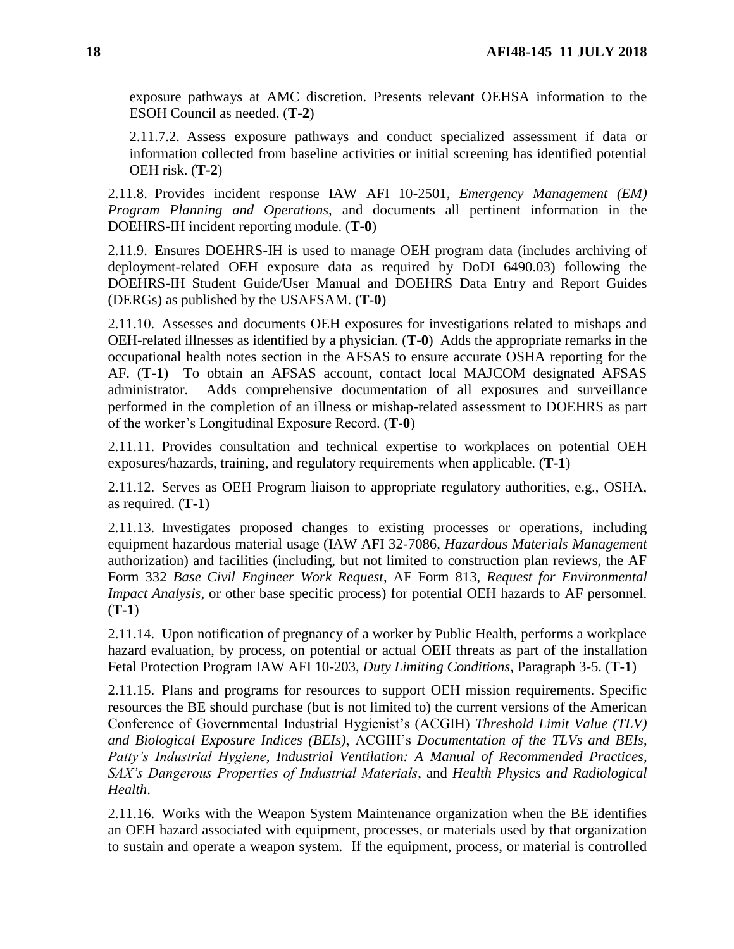exposure pathways at AMC discretion. Presents relevant OEHSA information to the ESOH Council as needed. (**T-2**)

2.11.7.2. Assess exposure pathways and conduct specialized assessment if data or information collected from baseline activities or initial screening has identified potential OEH risk. (**T-2**)

2.11.8. Provides incident response IAW AFI 10-2501, *Emergency Management (EM) Program Planning and Operations,* and documents all pertinent information in the DOEHRS-IH incident reporting module. (**T-0**)

2.11.9. Ensures DOEHRS-IH is used to manage OEH program data (includes archiving of deployment-related OEH exposure data as required by DoDI 6490.03) following the DOEHRS-IH Student Guide/User Manual and DOEHRS Data Entry and Report Guides (DERGs) as published by the USAFSAM. (**T-0**)

2.11.10. Assesses and documents OEH exposures for investigations related to mishaps and OEH-related illnesses as identified by a physician. (**T-0**) Adds the appropriate remarks in the occupational health notes section in the AFSAS to ensure accurate OSHA reporting for the AF. (**T-1**) To obtain an AFSAS account, contact local MAJCOM designated AFSAS administrator. Adds comprehensive documentation of all exposures and surveillance performed in the completion of an illness or mishap-related assessment to DOEHRS as part of the worker's Longitudinal Exposure Record. (**T-0**)

2.11.11. Provides consultation and technical expertise to workplaces on potential OEH exposures/hazards, training, and regulatory requirements when applicable. (**T-1**)

2.11.12. Serves as OEH Program liaison to appropriate regulatory authorities, e.g., OSHA, as required. (**T-1**)

2.11.13. Investigates proposed changes to existing processes or operations, including equipment hazardous material usage (IAW AFI 32-7086, *Hazardous Materials Management* authorization) and facilities (including, but not limited to construction plan reviews, the AF Form 332 *Base Civil Engineer Work Request*, AF Form 813, *Request for Environmental Impact Analysis*, or other base specific process) for potential OEH hazards to AF personnel. (**T-1**)

2.11.14. Upon notification of pregnancy of a worker by Public Health, performs a workplace hazard evaluation, by process, on potential or actual OEH threats as part of the installation Fetal Protection Program IAW AFI 10-203, *Duty Limiting Conditions*, Paragraph 3-5. (**T-1**)

2.11.15. Plans and programs for resources to support OEH mission requirements. Specific resources the BE should purchase (but is not limited to) the current versions of the American Conference of Governmental Industrial Hygienist's (ACGIH) *Threshold Limit Value (TLV) and Biological Exposure Indices (BEIs)*, ACGIH's *Documentation of the TLVs and BEIs*, *Patty's Industrial Hygiene*, *Industrial Ventilation: A Manual of Recommended Practices*, *SAX's Dangerous Properties of Industrial Materials*, and *Health Physics and Radiological Health*.

2.11.16. Works with the Weapon System Maintenance organization when the BE identifies an OEH hazard associated with equipment, processes, or materials used by that organization to sustain and operate a weapon system. If the equipment, process, or material is controlled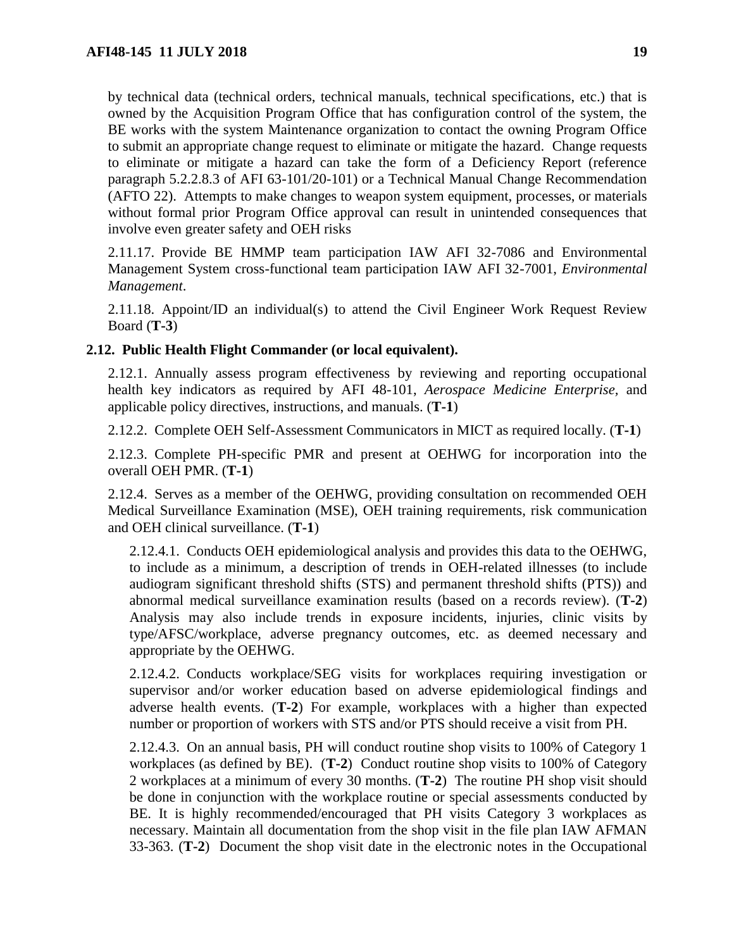by technical data (technical orders, technical manuals, technical specifications, etc.) that is owned by the Acquisition Program Office that has configuration control of the system, the BE works with the system Maintenance organization to contact the owning Program Office to submit an appropriate change request to eliminate or mitigate the hazard. Change requests to eliminate or mitigate a hazard can take the form of a Deficiency Report (reference paragraph 5.2.2.8.3 of AFI 63-101/20-101) or a Technical Manual Change Recommendation (AFTO 22). Attempts to make changes to weapon system equipment, processes, or materials without formal prior Program Office approval can result in unintended consequences that involve even greater safety and OEH risks

2.11.17. Provide BE HMMP team participation IAW AFI 32-7086 and Environmental Management System cross-functional team participation IAW AFI 32-7001, *Environmental Management*.

2.11.18. Appoint/ID an individual(s) to attend the Civil Engineer Work Request Review Board (**T-3**)

# <span id="page-18-0"></span>**2.12. Public Health Flight Commander (or local equivalent).**

2.12.1. Annually assess program effectiveness by reviewing and reporting occupational health key indicators as required by AFI 48-101, *Aerospace Medicine Enterprise,* and applicable policy directives, instructions, and manuals. (**T-1**)

2.12.2. Complete OEH Self-Assessment Communicators in MICT as required locally. (**T-1**)

2.12.3. Complete PH-specific PMR and present at OEHWG for incorporation into the overall OEH PMR. (**T-1**)

2.12.4. Serves as a member of the OEHWG, providing consultation on recommended OEH Medical Surveillance Examination (MSE), OEH training requirements, risk communication and OEH clinical surveillance. (**T-1**)

2.12.4.1. Conducts OEH epidemiological analysis and provides this data to the OEHWG, to include as a minimum, a description of trends in OEH-related illnesses (to include audiogram significant threshold shifts (STS) and permanent threshold shifts (PTS)) and abnormal medical surveillance examination results (based on a records review). (**T-2**) Analysis may also include trends in exposure incidents, injuries, clinic visits by type/AFSC/workplace, adverse pregnancy outcomes, etc. as deemed necessary and appropriate by the OEHWG.

2.12.4.2. Conducts workplace/SEG visits for workplaces requiring investigation or supervisor and/or worker education based on adverse epidemiological findings and adverse health events. (**T-2**) For example, workplaces with a higher than expected number or proportion of workers with STS and/or PTS should receive a visit from PH.

2.12.4.3. On an annual basis, PH will conduct routine shop visits to 100% of Category 1 workplaces (as defined by BE). (**T-2**) Conduct routine shop visits to 100% of Category 2 workplaces at a minimum of every 30 months. (**T-2**) The routine PH shop visit should be done in conjunction with the workplace routine or special assessments conducted by BE. It is highly recommended/encouraged that PH visits Category 3 workplaces as necessary. Maintain all documentation from the shop visit in the file plan IAW AFMAN 33-363. (**T-2**) Document the shop visit date in the electronic notes in the Occupational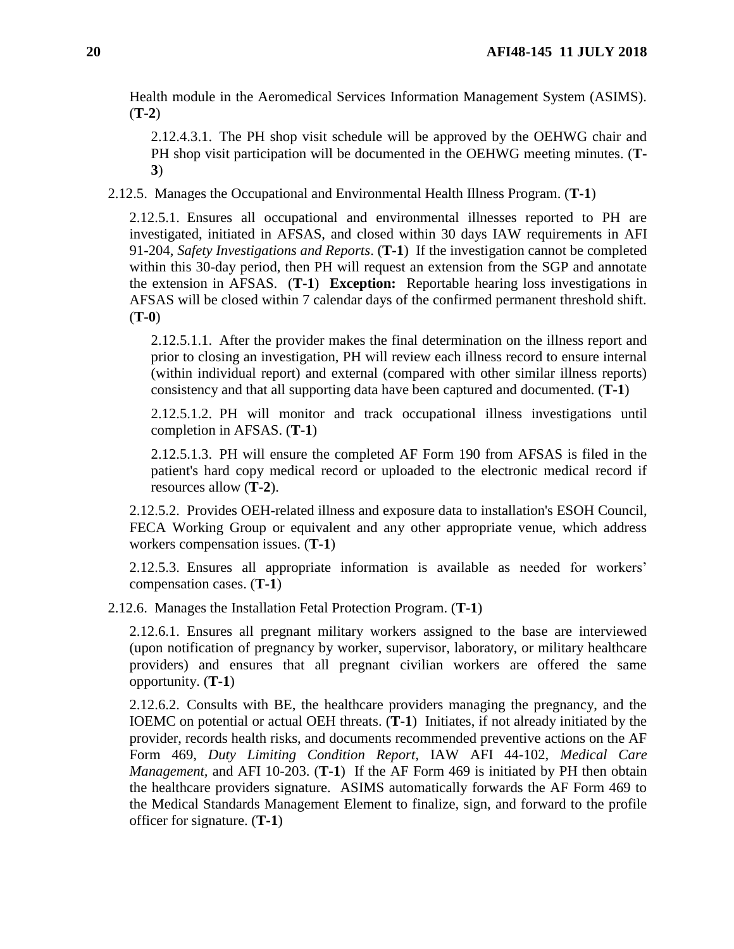Health module in the Aeromedical Services Information Management System (ASIMS). (**T-2**)

2.12.4.3.1. The PH shop visit schedule will be approved by the OEHWG chair and PH shop visit participation will be documented in the OEHWG meeting minutes. (**T-3**)

2.12.5. Manages the Occupational and Environmental Health Illness Program. (**T-1**)

2.12.5.1. Ensures all occupational and environmental illnesses reported to PH are investigated, initiated in AFSAS, and closed within 30 days IAW requirements in AFI 91-204, *Safety Investigations and Reports*. (**T-1**) If the investigation cannot be completed within this 30-day period, then PH will request an extension from the SGP and annotate the extension in AFSAS. (**T-1**) **Exception:** Reportable hearing loss investigations in AFSAS will be closed within 7 calendar days of the confirmed permanent threshold shift. (**T-0**)

2.12.5.1.1. After the provider makes the final determination on the illness report and prior to closing an investigation, PH will review each illness record to ensure internal (within individual report) and external (compared with other similar illness reports) consistency and that all supporting data have been captured and documented. (**T-1**)

2.12.5.1.2. PH will monitor and track occupational illness investigations until completion in AFSAS. (**T-1**)

2.12.5.1.3. PH will ensure the completed AF Form 190 from AFSAS is filed in the patient's hard copy medical record or uploaded to the electronic medical record if resources allow (**T-2**).

2.12.5.2. Provides OEH-related illness and exposure data to installation's ESOH Council, FECA Working Group or equivalent and any other appropriate venue, which address workers compensation issues. (**T-1**)

2.12.5.3. Ensures all appropriate information is available as needed for workers' compensation cases. (**T-1**)

2.12.6. Manages the Installation Fetal Protection Program. (**T-1**)

2.12.6.1. Ensures all pregnant military workers assigned to the base are interviewed (upon notification of pregnancy by worker, supervisor, laboratory, or military healthcare providers) and ensures that all pregnant civilian workers are offered the same opportunity. (**T-1**)

2.12.6.2. Consults with BE, the healthcare providers managing the pregnancy, and the IOEMC on potential or actual OEH threats. (**T-1**) Initiates, if not already initiated by the provider, records health risks, and documents recommended preventive actions on the AF Form 469, *Duty Limiting Condition Report,* IAW AFI 44-102, *Medical Care Management,* and AFI 10-203. (**T-1**) If the AF Form 469 is initiated by PH then obtain the healthcare providers signature. ASIMS automatically forwards the AF Form 469 to the Medical Standards Management Element to finalize, sign, and forward to the profile officer for signature. (**T-1**)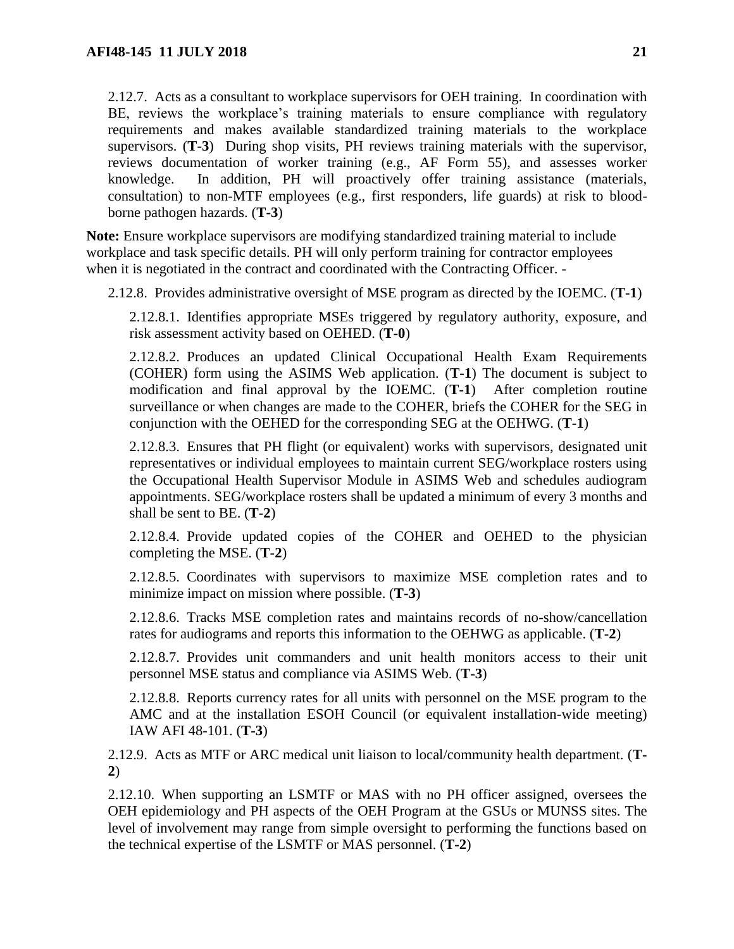2.12.7. Acts as a consultant to workplace supervisors for OEH training. In coordination with BE, reviews the workplace's training materials to ensure compliance with regulatory requirements and makes available standardized training materials to the workplace supervisors. (**T-3**) During shop visits, PH reviews training materials with the supervisor, reviews documentation of worker training (e.g., AF Form 55), and assesses worker knowledge. In addition, PH will proactively offer training assistance (materials, consultation) to non-MTF employees (e.g., first responders, life guards) at risk to bloodborne pathogen hazards. (**T-3**)

**Note:** Ensure workplace supervisors are modifying standardized training material to include workplace and task specific details. PH will only perform training for contractor employees when it is negotiated in the contract and coordinated with the Contracting Officer. -

2.12.8. Provides administrative oversight of MSE program as directed by the IOEMC. (**T-1**)

2.12.8.1. Identifies appropriate MSEs triggered by regulatory authority, exposure, and risk assessment activity based on OEHED. (**T-0**)

2.12.8.2. Produces an updated Clinical Occupational Health Exam Requirements (COHER) form using the ASIMS Web application. (**T-1**) The document is subject to modification and final approval by the IOEMC. (**T-1**) After completion routine surveillance or when changes are made to the COHER, briefs the COHER for the SEG in conjunction with the OEHED for the corresponding SEG at the OEHWG. (**T-1**)

<span id="page-20-0"></span>2.12.8.3. Ensures that PH flight (or equivalent) works with supervisors, designated unit representatives or individual employees to maintain current SEG/workplace rosters using the Occupational Health Supervisor Module in ASIMS Web and schedules audiogram appointments. SEG/workplace rosters shall be updated a minimum of every 3 months and shall be sent to BE. (**T-2**)

2.12.8.4. Provide updated copies of the COHER and OEHED to the physician completing the MSE. (**T-2**)

2.12.8.5. Coordinates with supervisors to maximize MSE completion rates and to minimize impact on mission where possible. (**T-3**)

2.12.8.6. Tracks MSE completion rates and maintains records of no-show/cancellation rates for audiograms and reports this information to the OEHWG as applicable. (**T-2**)

2.12.8.7. Provides unit commanders and unit health monitors access to their unit personnel MSE status and compliance via ASIMS Web. (**T-3**)

2.12.8.8. Reports currency rates for all units with personnel on the MSE program to the AMC and at the installation ESOH Council (or equivalent installation-wide meeting) IAW AFI 48-101. (**T-3**)

2.12.9. Acts as MTF or ARC medical unit liaison to local/community health department. (**T-2**)

2.12.10. When supporting an LSMTF or MAS with no PH officer assigned, oversees the OEH epidemiology and PH aspects of the OEH Program at the GSUs or MUNSS sites. The level of involvement may range from simple oversight to performing the functions based on the technical expertise of the LSMTF or MAS personnel. (**T-2**)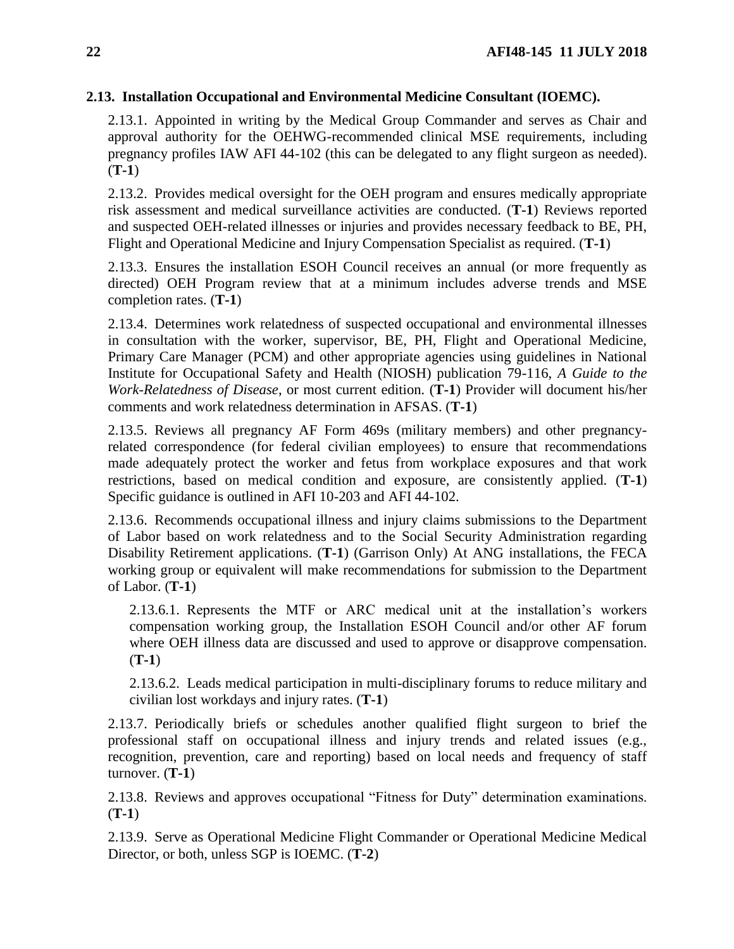# <span id="page-21-0"></span>**2.13. Installation Occupational and Environmental Medicine Consultant (IOEMC).**

2.13.1. Appointed in writing by the Medical Group Commander and serves as Chair and approval authority for the OEHWG-recommended clinical MSE requirements, including pregnancy profiles IAW AFI 44-102 (this can be delegated to any flight surgeon as needed). (**T-1**)

2.13.2. Provides medical oversight for the OEH program and ensures medically appropriate risk assessment and medical surveillance activities are conducted. (**T-1**) Reviews reported and suspected OEH-related illnesses or injuries and provides necessary feedback to BE, PH, Flight and Operational Medicine and Injury Compensation Specialist as required. (**T-1**)

2.13.3. Ensures the installation ESOH Council receives an annual (or more frequently as directed) OEH Program review that at a minimum includes adverse trends and MSE completion rates. (**T-1**)

2.13.4. Determines work relatedness of suspected occupational and environmental illnesses in consultation with the worker, supervisor, BE, PH, Flight and Operational Medicine, Primary Care Manager (PCM) and other appropriate agencies using guidelines in National Institute for Occupational Safety and Health (NIOSH) publication 79-116, *A Guide to the Work-Relatedness of Disease*, or most current edition*.* (**T-1**) Provider will document his/her comments and work relatedness determination in AFSAS. (**T-1**)

2.13.5. Reviews all pregnancy AF Form 469s (military members) and other pregnancyrelated correspondence (for federal civilian employees) to ensure that recommendations made adequately protect the worker and fetus from workplace exposures and that work restrictions, based on medical condition and exposure, are consistently applied. (**T-1**) Specific guidance is outlined in AFI 10-203 and AFI 44-102.

2.13.6. Recommends occupational illness and injury claims submissions to the Department of Labor based on work relatedness and to the Social Security Administration regarding Disability Retirement applications. (**T-1**) (Garrison Only) At ANG installations, the FECA working group or equivalent will make recommendations for submission to the Department of Labor. (**T-1**)

2.13.6.1. Represents the MTF or ARC medical unit at the installation's workers compensation working group, the Installation ESOH Council and/or other AF forum where OEH illness data are discussed and used to approve or disapprove compensation. (**T-1**)

2.13.6.2. Leads medical participation in multi-disciplinary forums to reduce military and civilian lost workdays and injury rates. (**T-1**)

2.13.7. Periodically briefs or schedules another qualified flight surgeon to brief the professional staff on occupational illness and injury trends and related issues (e.g., recognition, prevention, care and reporting) based on local needs and frequency of staff turnover. (**T-1**)

2.13.8. Reviews and approves occupational "Fitness for Duty" determination examinations. (**T-1**)

2.13.9. Serve as Operational Medicine Flight Commander or Operational Medicine Medical Director, or both, unless SGP is IOEMC. (**T-2**)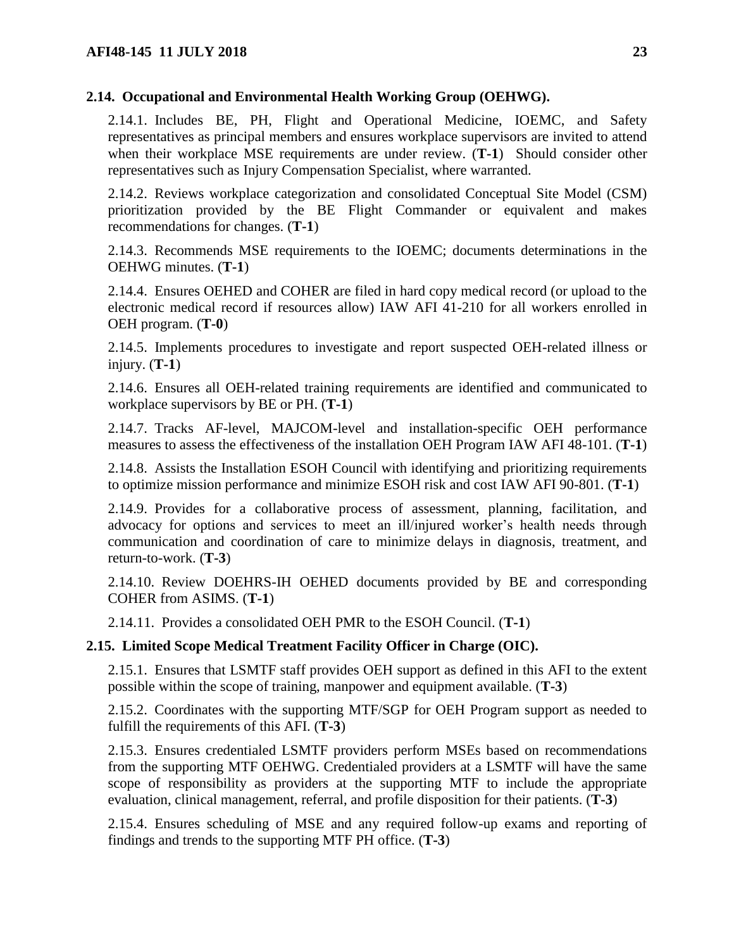# <span id="page-22-0"></span>**2.14. Occupational and Environmental Health Working Group (OEHWG).**

2.14.1. Includes BE, PH, Flight and Operational Medicine, IOEMC, and Safety representatives as principal members and ensures workplace supervisors are invited to attend when their workplace MSE requirements are under review. (**T-1**) Should consider other representatives such as Injury Compensation Specialist, where warranted.

2.14.2. Reviews workplace categorization and consolidated Conceptual Site Model (CSM) prioritization provided by the BE Flight Commander or equivalent and makes recommendations for changes. (**T-1**)

2.14.3. Recommends MSE requirements to the IOEMC; documents determinations in the OEHWG minutes. (**T-1**)

2.14.4. Ensures OEHED and COHER are filed in hard copy medical record (or upload to the electronic medical record if resources allow) IAW AFI 41-210 for all workers enrolled in OEH program. (**T-0**)

2.14.5. Implements procedures to investigate and report suspected OEH-related illness or injury. (**T-1**)

2.14.6. Ensures all OEH-related training requirements are identified and communicated to workplace supervisors by BE or PH. (**T-1**)

2.14.7. Tracks AF-level, MAJCOM-level and installation-specific OEH performance measures to assess the effectiveness of the installation OEH Program IAW AFI 48-101. (**T-1**)

2.14.8. Assists the Installation ESOH Council with identifying and prioritizing requirements to optimize mission performance and minimize ESOH risk and cost IAW AFI 90-801. (**T-1**)

2.14.9. Provides for a collaborative process of assessment, planning, facilitation, and advocacy for options and services to meet an ill/injured worker's health needs through communication and coordination of care to minimize delays in diagnosis, treatment, and return-to-work. (**T-3**)

2.14.10. Review DOEHRS-IH OEHED documents provided by BE and corresponding COHER from ASIMS. (**T-1**)

2.14.11. Provides a consolidated OEH PMR to the ESOH Council. (**T-1**)

# <span id="page-22-1"></span>**2.15. Limited Scope Medical Treatment Facility Officer in Charge (OIC).**

2.15.1. Ensures that LSMTF staff provides OEH support as defined in this AFI to the extent possible within the scope of training, manpower and equipment available. (**T-3**)

2.15.2. Coordinates with the supporting MTF/SGP for OEH Program support as needed to fulfill the requirements of this AFI. (**T-3**)

2.15.3. Ensures credentialed LSMTF providers perform MSEs based on recommendations from the supporting MTF OEHWG. Credentialed providers at a LSMTF will have the same scope of responsibility as providers at the supporting MTF to include the appropriate evaluation, clinical management, referral, and profile disposition for their patients. (**T-3**)

2.15.4. Ensures scheduling of MSE and any required follow-up exams and reporting of findings and trends to the supporting MTF PH office. (**T-3**)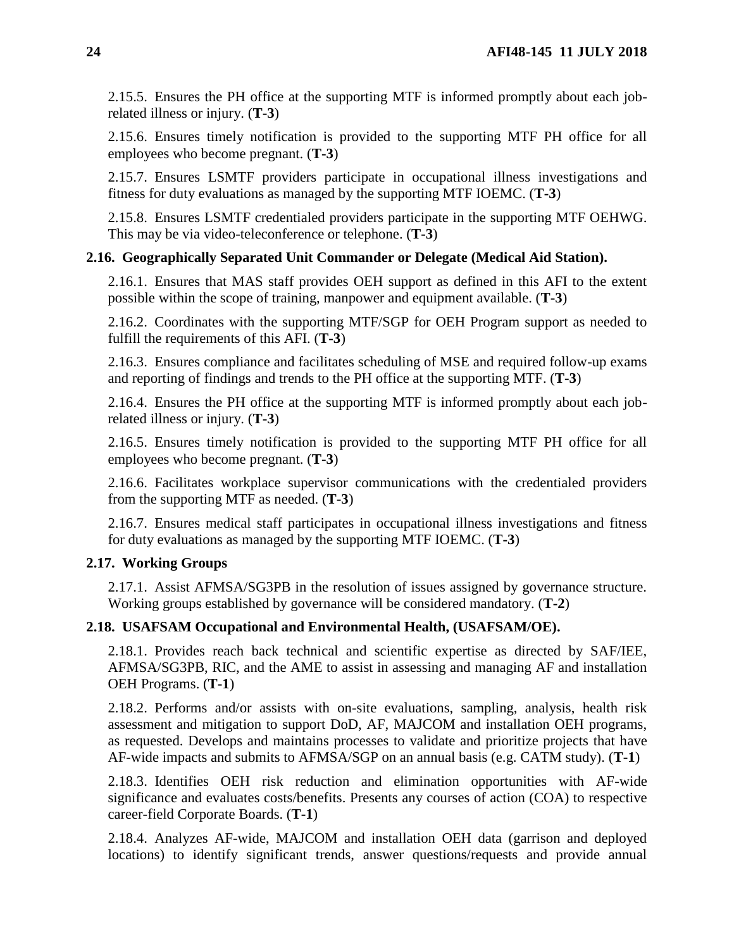2.15.5. Ensures the PH office at the supporting MTF is informed promptly about each jobrelated illness or injury. (**T-3**)

2.15.6. Ensures timely notification is provided to the supporting MTF PH office for all employees who become pregnant. (**T-3**)

2.15.7. Ensures LSMTF providers participate in occupational illness investigations and fitness for duty evaluations as managed by the supporting MTF IOEMC. (**T-3**)

2.15.8. Ensures LSMTF credentialed providers participate in the supporting MTF OEHWG. This may be via video-teleconference or telephone. (**T-3**)

## <span id="page-23-0"></span>**2.16. Geographically Separated Unit Commander or Delegate (Medical Aid Station).**

2.16.1. Ensures that MAS staff provides OEH support as defined in this AFI to the extent possible within the scope of training, manpower and equipment available. (**T-3**)

2.16.2. Coordinates with the supporting MTF/SGP for OEH Program support as needed to fulfill the requirements of this AFI. (**T-3**)

2.16.3. Ensures compliance and facilitates scheduling of MSE and required follow-up exams and reporting of findings and trends to the PH office at the supporting MTF. (**T-3**)

2.16.4. Ensures the PH office at the supporting MTF is informed promptly about each jobrelated illness or injury. (**T-3**)

2.16.5. Ensures timely notification is provided to the supporting MTF PH office for all employees who become pregnant. (**T-3**)

2.16.6. Facilitates workplace supervisor communications with the credentialed providers from the supporting MTF as needed. (**T-3**)

2.16.7. Ensures medical staff participates in occupational illness investigations and fitness for duty evaluations as managed by the supporting MTF IOEMC. (**T-3**)

## <span id="page-23-1"></span>**2.17. Working Groups**

2.17.1. Assist AFMSA/SG3PB in the resolution of issues assigned by governance structure. Working groups established by governance will be considered mandatory. (**T-2**)

## <span id="page-23-2"></span>**2.18. USAFSAM Occupational and Environmental Health, (USAFSAM/OE).**

2.18.1. Provides reach back technical and scientific expertise as directed by SAF/IEE, AFMSA/SG3PB, RIC, and the AME to assist in assessing and managing AF and installation OEH Programs. (**T-1**)

2.18.2. Performs and/or assists with on-site evaluations, sampling, analysis, health risk assessment and mitigation to support DoD, AF, MAJCOM and installation OEH programs, as requested. Develops and maintains processes to validate and prioritize projects that have AF-wide impacts and submits to AFMSA/SGP on an annual basis (e.g. CATM study). (**T-1**)

2.18.3. Identifies OEH risk reduction and elimination opportunities with AF-wide significance and evaluates costs/benefits. Presents any courses of action (COA) to respective career-field Corporate Boards. (**T-1**)

2.18.4. Analyzes AF-wide, MAJCOM and installation OEH data (garrison and deployed locations) to identify significant trends, answer questions/requests and provide annual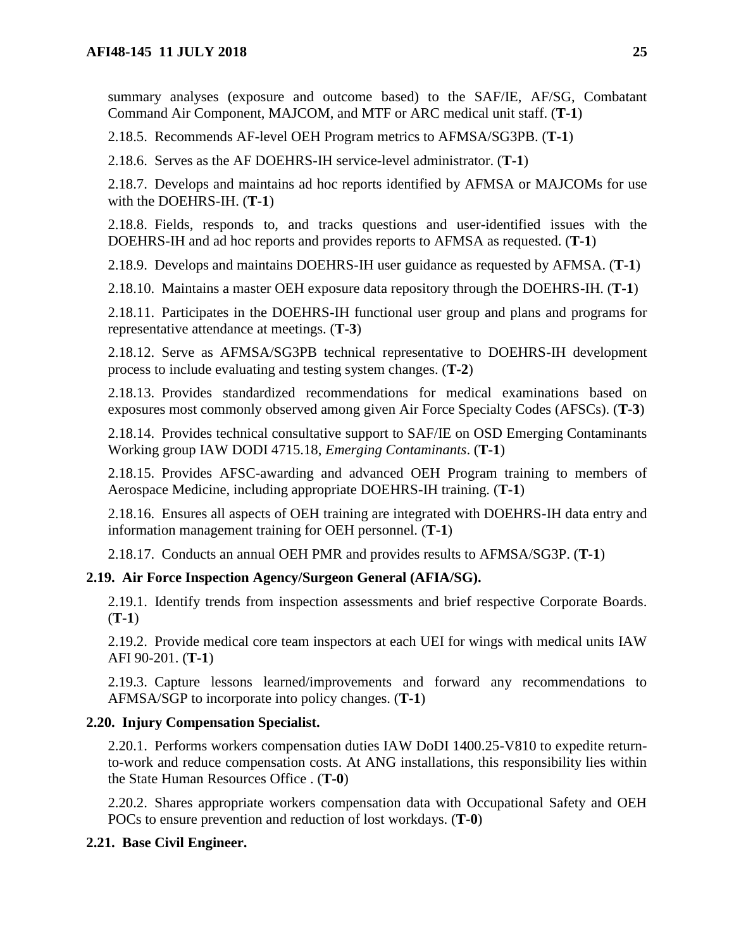summary analyses (exposure and outcome based) to the SAF/IE, AF/SG, Combatant Command Air Component, MAJCOM, and MTF or ARC medical unit staff. (**T-1**)

2.18.5. Recommends AF-level OEH Program metrics to AFMSA/SG3PB. (**T-1**)

2.18.6. Serves as the AF DOEHRS-IH service-level administrator. (**T-1**)

2.18.7. Develops and maintains ad hoc reports identified by AFMSA or MAJCOMs for use with the DOEHRS-IH. (**T-1**)

2.18.8. Fields, responds to, and tracks questions and user-identified issues with the DOEHRS-IH and ad hoc reports and provides reports to AFMSA as requested. (**T-1**)

2.18.9. Develops and maintains DOEHRS-IH user guidance as requested by AFMSA. (**T-1**)

2.18.10. Maintains a master OEH exposure data repository through the DOEHRS-IH. (**T-1**)

2.18.11. Participates in the DOEHRS-IH functional user group and plans and programs for representative attendance at meetings. (**T-3**)

2.18.12. Serve as AFMSA/SG3PB technical representative to DOEHRS-IH development process to include evaluating and testing system changes. (**T-2**)

2.18.13. Provides standardized recommendations for medical examinations based on exposures most commonly observed among given Air Force Specialty Codes (AFSCs). (**T-3**)

2.18.14. Provides technical consultative support to SAF/IE on OSD Emerging Contaminants Working group IAW DODI 4715.18, *Emerging Contaminants*. (**T-1**)

2.18.15. Provides AFSC-awarding and advanced OEH Program training to members of Aerospace Medicine, including appropriate DOEHRS-IH training. (**T-1**)

2.18.16. Ensures all aspects of OEH training are integrated with DOEHRS-IH data entry and information management training for OEH personnel. (**T-1**)

2.18.17. Conducts an annual OEH PMR and provides results to AFMSA/SG3P. (**T-1**)

## <span id="page-24-0"></span>**2.19. Air Force Inspection Agency/Surgeon General (AFIA/SG).**

2.19.1. Identify trends from inspection assessments and brief respective Corporate Boards. (**T-1**)

2.19.2. Provide medical core team inspectors at each UEI for wings with medical units IAW AFI 90-201. (**T-1**)

2.19.3. Capture lessons learned/improvements and forward any recommendations to AFMSA/SGP to incorporate into policy changes. (**T-1**)

## <span id="page-24-1"></span>**2.20. Injury Compensation Specialist.**

2.20.1. Performs workers compensation duties IAW DoDI 1400.25-V810 to expedite returnto-work and reduce compensation costs. At ANG installations, this responsibility lies within the State Human Resources Office . (**T-0**)

2.20.2. Shares appropriate workers compensation data with Occupational Safety and OEH POCs to ensure prevention and reduction of lost workdays. (**T-0**)

## <span id="page-24-2"></span>**2.21. Base Civil Engineer.**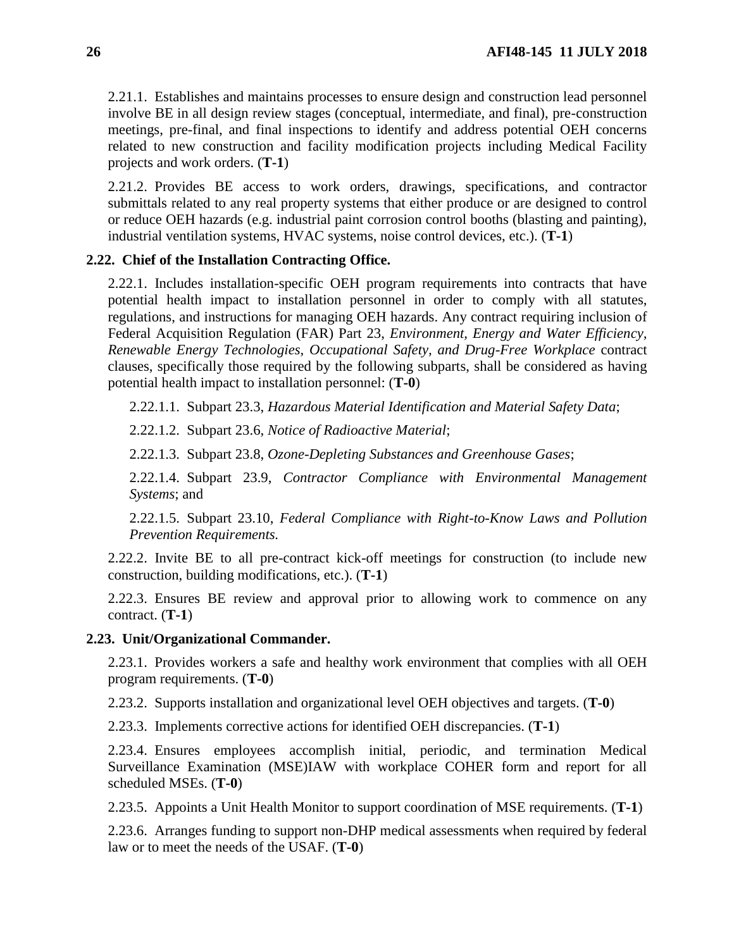2.21.1. Establishes and maintains processes to ensure design and construction lead personnel involve BE in all design review stages (conceptual, intermediate, and final), pre-construction meetings, pre-final, and final inspections to identify and address potential OEH concerns related to new construction and facility modification projects including Medical Facility projects and work orders. (**T-1**)

2.21.2. Provides BE access to work orders, drawings, specifications, and contractor submittals related to any real property systems that either produce or are designed to control or reduce OEH hazards (e.g. industrial paint corrosion control booths (blasting and painting), industrial ventilation systems, HVAC systems, noise control devices, etc.). (**T-1**)

#### <span id="page-25-0"></span>**2.22. Chief of the Installation Contracting Office.**

2.22.1. Includes installation-specific OEH program requirements into contracts that have potential health impact to installation personnel in order to comply with all statutes, regulations, and instructions for managing OEH hazards. Any contract requiring inclusion of Federal Acquisition Regulation (FAR) Part 23, *Environment, Energy and Water Efficiency, Renewable Energy Technologies, Occupational Safety, and Drug-Free Workplace* contract clauses, specifically those required by the following subparts, shall be considered as having potential health impact to installation personnel: (**T-0**)

2.22.1.1. Subpart 23.3, *Hazardous Material Identification and Material Safety Data*;

2.22.1.2. Subpart 23.6, *Notice of Radioactive Material*;

2.22.1.3. Subpart 23.8, *Ozone-Depleting Substances and Greenhouse Gases*;

2.22.1.4. Subpart 23.9, *Contractor Compliance with Environmental Management Systems*; and

2.22.1.5. Subpart 23.10, *Federal Compliance with Right-to-Know Laws and Pollution Prevention Requirements.*

2.22.2. Invite BE to all pre-contract kick-off meetings for construction (to include new construction, building modifications, etc.). (**T-1**)

2.22.3. Ensures BE review and approval prior to allowing work to commence on any contract. (**T-1**)

#### <span id="page-25-1"></span>**2.23. Unit/Organizational Commander.**

2.23.1. Provides workers a safe and healthy work environment that complies with all OEH program requirements. (**T-0**)

2.23.2. Supports installation and organizational level OEH objectives and targets. (**T-0**)

2.23.3. Implements corrective actions for identified OEH discrepancies. (**T-1**)

2.23.4. Ensures employees accomplish initial, periodic, and termination Medical Surveillance Examination (MSE)IAW with workplace COHER form and report for all scheduled MSEs. (**T-0**)

2.23.5. Appoints a Unit Health Monitor to support coordination of MSE requirements. (**T-1**)

2.23.6. Arranges funding to support non-DHP medical assessments when required by federal law or to meet the needs of the USAF. (**T-0**)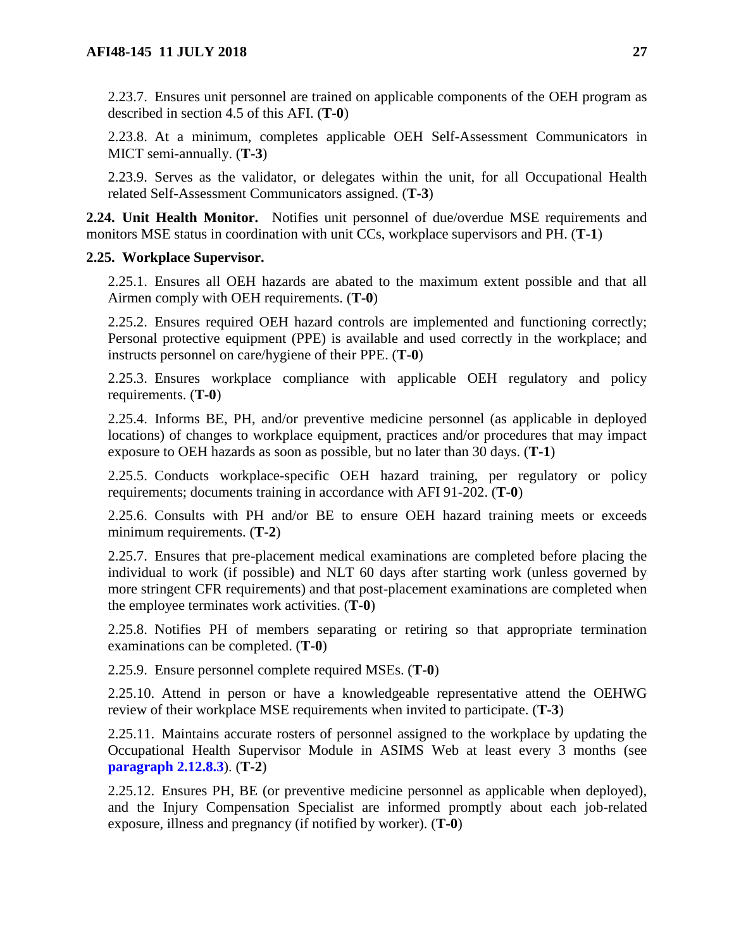2.23.7. Ensures unit personnel are trained on applicable components of the OEH program as described in section 4.5 of this AFI. (**T-0**)

2.23.8. At a minimum, completes applicable OEH Self-Assessment Communicators in MICT semi-annually. (**T-3**)

2.23.9. Serves as the validator, or delegates within the unit, for all Occupational Health related Self-Assessment Communicators assigned. (**T-3**)

<span id="page-26-0"></span>**2.24. Unit Health Monitor.** Notifies unit personnel of due/overdue MSE requirements and monitors MSE status in coordination with unit CCs, workplace supervisors and PH. (**T-1**)

#### <span id="page-26-1"></span>**2.25. Workplace Supervisor.**

2.25.1. Ensures all OEH hazards are abated to the maximum extent possible and that all Airmen comply with OEH requirements. (**T-0**)

2.25.2. Ensures required OEH hazard controls are implemented and functioning correctly; Personal protective equipment (PPE) is available and used correctly in the workplace; and instructs personnel on care/hygiene of their PPE. (**T-0**)

2.25.3. Ensures workplace compliance with applicable OEH regulatory and policy requirements. (**T-0**)

2.25.4. Informs BE, PH, and/or preventive medicine personnel (as applicable in deployed locations) of changes to workplace equipment, practices and/or procedures that may impact exposure to OEH hazards as soon as possible, but no later than 30 days. (**T-1**)

2.25.5. Conducts workplace-specific OEH hazard training, per regulatory or policy requirements; documents training in accordance with AFI 91-202. (**T-0**)

2.25.6. Consults with PH and/or BE to ensure OEH hazard training meets or exceeds minimum requirements. (**T-2**)

2.25.7. Ensures that pre-placement medical examinations are completed before placing the individual to work (if possible) and NLT 60 days after starting work (unless governed by more stringent CFR requirements) and that post-placement examinations are completed when the employee terminates work activities. (**T-0**)

2.25.8. Notifies PH of members separating or retiring so that appropriate termination examinations can be completed. (**T-0**)

2.25.9. Ensure personnel complete required MSEs. (**T-0**)

2.25.10. Attend in person or have a knowledgeable representative attend the OEHWG review of their workplace MSE requirements when invited to participate. (**T-3**)

2.25.11. Maintains accurate rosters of personnel assigned to the workplace by updating the Occupational Health Supervisor Module in ASIMS Web at least every 3 months (see **[paragraph](#page-20-0) 2.12.8.3**). (**T-2**)

2.25.12. Ensures PH, BE (or preventive medicine personnel as applicable when deployed), and the Injury Compensation Specialist are informed promptly about each job-related exposure, illness and pregnancy (if notified by worker). (**T-0**)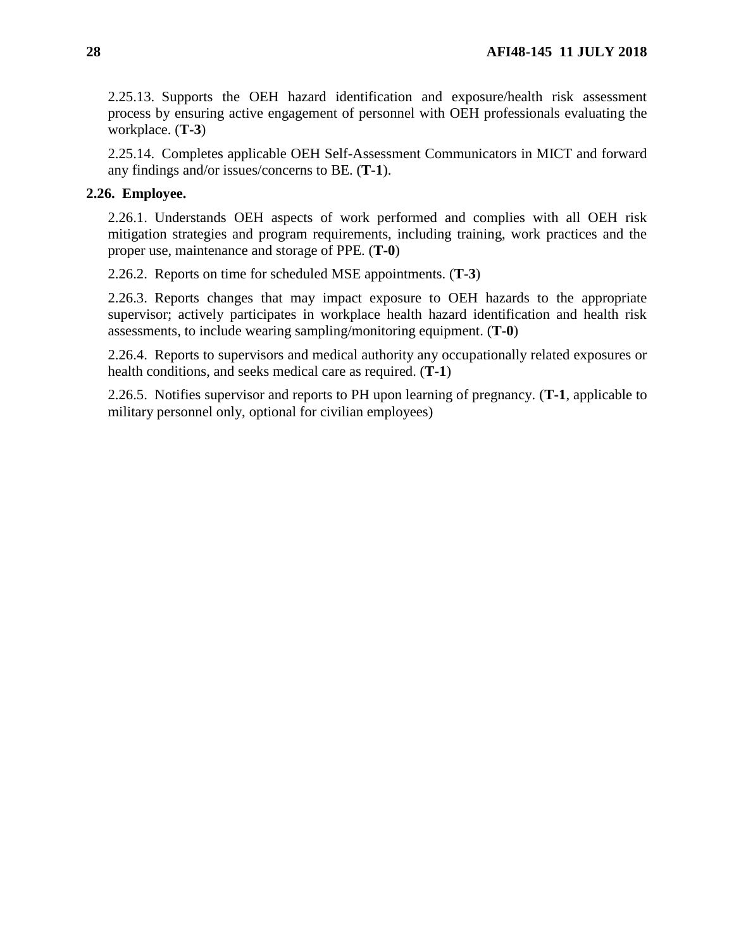2.25.13. Supports the OEH hazard identification and exposure/health risk assessment process by ensuring active engagement of personnel with OEH professionals evaluating the workplace. (**T-3**)

2.25.14. Completes applicable OEH Self-Assessment Communicators in MICT and forward any findings and/or issues/concerns to BE. (**T-1**).

# <span id="page-27-0"></span>**2.26. Employee.**

2.26.1. Understands OEH aspects of work performed and complies with all OEH risk mitigation strategies and program requirements, including training, work practices and the proper use, maintenance and storage of PPE. (**T-0**)

2.26.2. Reports on time for scheduled MSE appointments. (**T-3**)

2.26.3. Reports changes that may impact exposure to OEH hazards to the appropriate supervisor; actively participates in workplace health hazard identification and health risk assessments, to include wearing sampling/monitoring equipment. (**T-0**)

2.26.4. Reports to supervisors and medical authority any occupationally related exposures or health conditions, and seeks medical care as required. (**T-1**)

2.26.5. Notifies supervisor and reports to PH upon learning of pregnancy. (**T-1**, applicable to military personnel only, optional for civilian employees)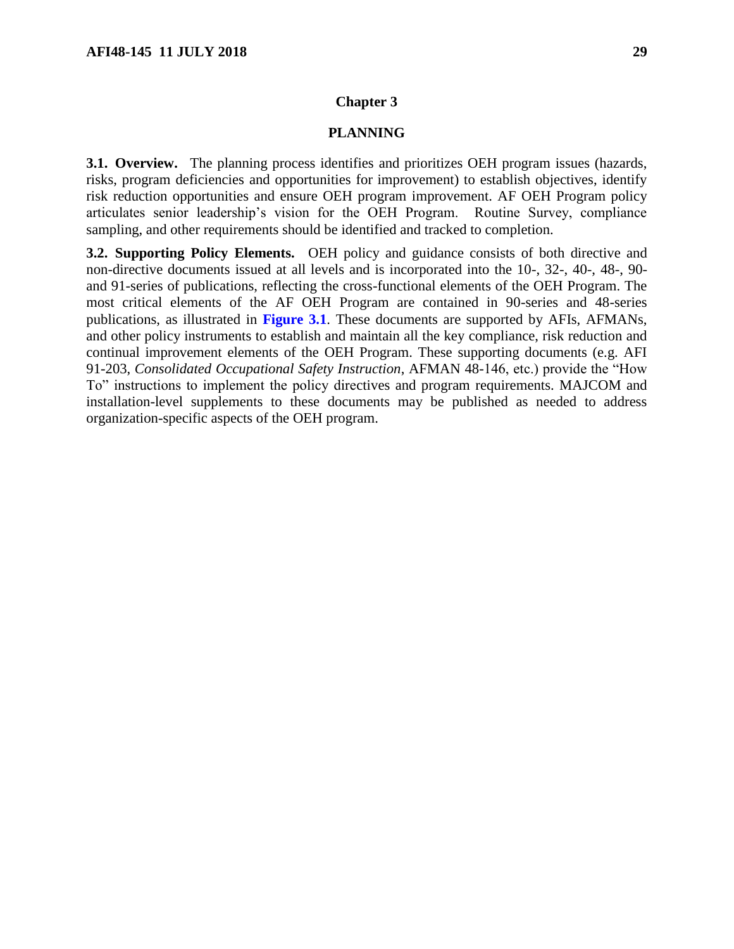#### **Chapter 3**

#### **PLANNING**

<span id="page-28-1"></span><span id="page-28-0"></span>**3.1. Overview.** The planning process identifies and prioritizes OEH program issues (hazards, risks, program deficiencies and opportunities for improvement) to establish objectives, identify risk reduction opportunities and ensure OEH program improvement. AF OEH Program policy articulates senior leadership's vision for the OEH Program. Routine Survey, compliance sampling, and other requirements should be identified and tracked to completion.

<span id="page-28-2"></span>**3.2. Supporting Policy Elements.** OEH policy and guidance consists of both directive and non-directive documents issued at all levels and is incorporated into the 10-, 32-, 40-, 48-, 90 and 91-series of publications, reflecting the cross-functional elements of the OEH Program. The most critical elements of the AF OEH Program are contained in 90-series and 48-series publications, as illustrated in **[Figure](#page-29-0) 3.1**. These documents are supported by AFIs, AFMANs, and other policy instruments to establish and maintain all the key compliance, risk reduction and continual improvement elements of the OEH Program. These supporting documents (e.g. AFI 91-203, *Consolidated Occupational Safety Instruction*, AFMAN 48-146, etc.) provide the "How To" instructions to implement the policy directives and program requirements. MAJCOM and installation-level supplements to these documents may be published as needed to address organization-specific aspects of the OEH program.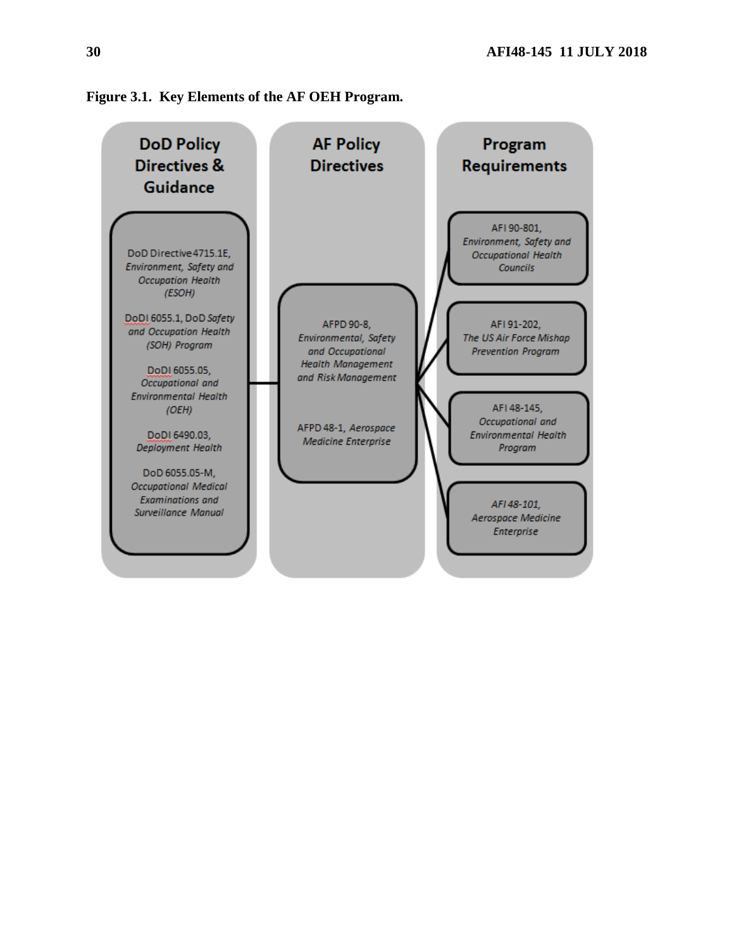

<span id="page-29-0"></span>**Figure 3.1. Key Elements of the AF OEH Program.**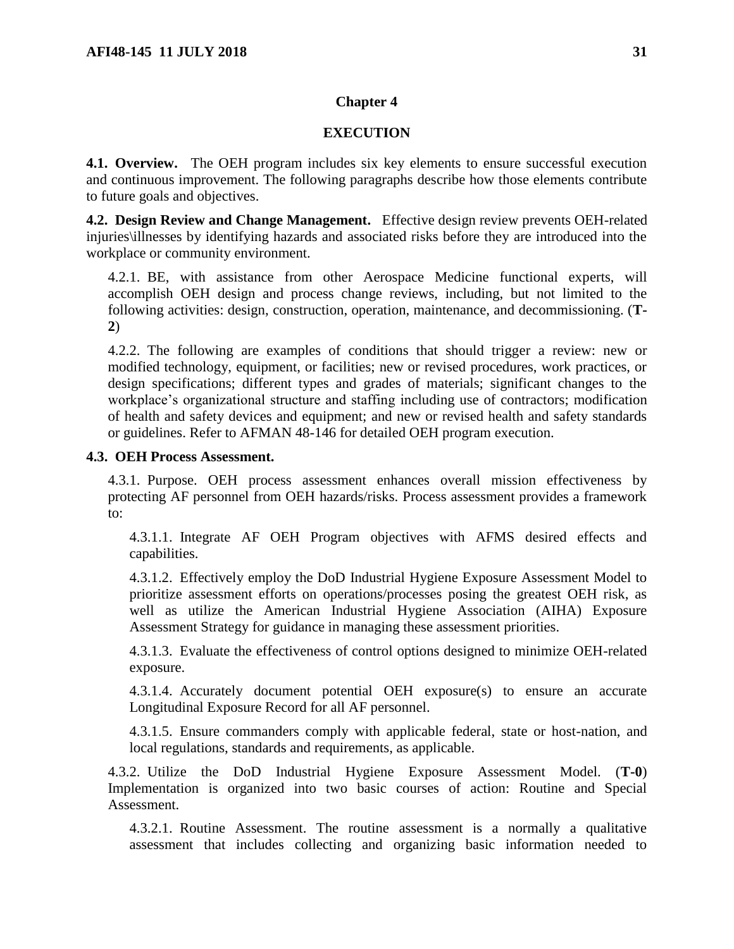#### **Chapter 4**

#### **EXECUTION**

<span id="page-30-1"></span><span id="page-30-0"></span>**4.1. Overview.** The OEH program includes six key elements to ensure successful execution and continuous improvement. The following paragraphs describe how those elements contribute to future goals and objectives.

<span id="page-30-2"></span>**4.2. Design Review and Change Management.** Effective design review prevents OEH-related injuries\illnesses by identifying hazards and associated risks before they are introduced into the workplace or community environment.

4.2.1. BE, with assistance from other Aerospace Medicine functional experts, will accomplish OEH design and process change reviews, including, but not limited to the following activities: design, construction, operation, maintenance, and decommissioning. (**T-2**)

4.2.2. The following are examples of conditions that should trigger a review: new or modified technology, equipment, or facilities; new or revised procedures, work practices, or design specifications; different types and grades of materials; significant changes to the workplace's organizational structure and staffing including use of contractors; modification of health and safety devices and equipment; and new or revised health and safety standards or guidelines. Refer to AFMAN 48-146 for detailed OEH program execution.

#### <span id="page-30-3"></span>**4.3. OEH Process Assessment.**

4.3.1. Purpose. OEH process assessment enhances overall mission effectiveness by protecting AF personnel from OEH hazards/risks. Process assessment provides a framework to:

4.3.1.1. Integrate AF OEH Program objectives with AFMS desired effects and capabilities.

4.3.1.2. Effectively employ the DoD Industrial Hygiene Exposure Assessment Model to prioritize assessment efforts on operations/processes posing the greatest OEH risk, as well as utilize the American Industrial Hygiene Association (AIHA) Exposure Assessment Strategy for guidance in managing these assessment priorities.

4.3.1.3. Evaluate the effectiveness of control options designed to minimize OEH-related exposure.

4.3.1.4. Accurately document potential OEH exposure(s) to ensure an accurate Longitudinal Exposure Record for all AF personnel.

4.3.1.5. Ensure commanders comply with applicable federal, state or host-nation, and local regulations, standards and requirements, as applicable.

4.3.2. Utilize the DoD Industrial Hygiene Exposure Assessment Model. (**T-0**) Implementation is organized into two basic courses of action: Routine and Special Assessment.

4.3.2.1. Routine Assessment. The routine assessment is a normally a qualitative assessment that includes collecting and organizing basic information needed to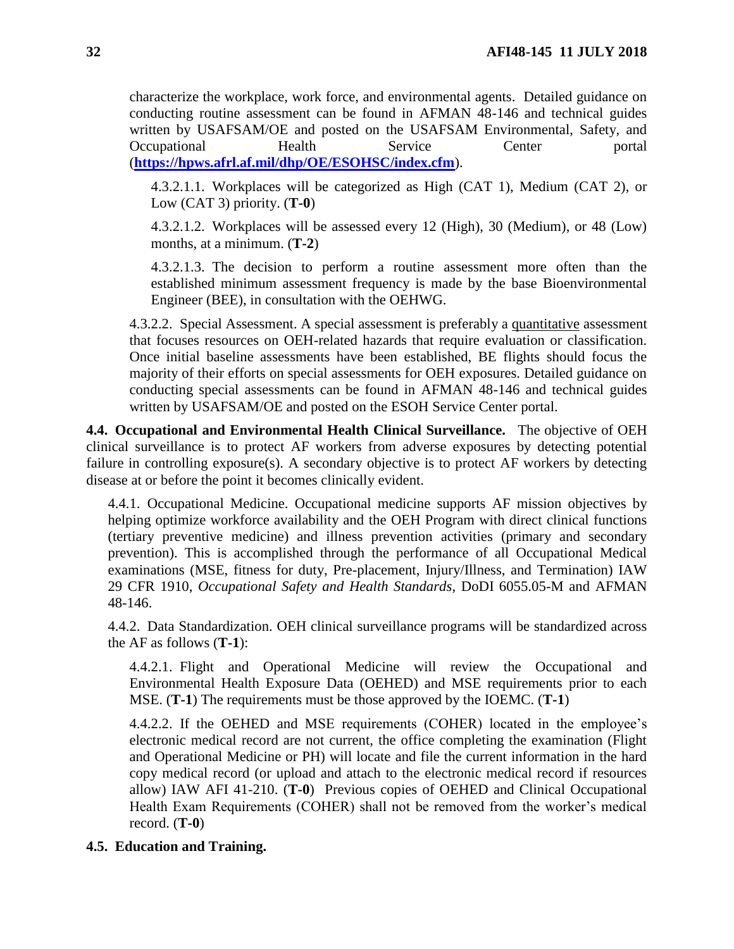characterize the workplace, work force, and environmental agents. Detailed guidance on conducting routine assessment can be found in AFMAN 48-146 and technical guides written by USAFSAM/OE and posted on the USAFSAM Environmental, Safety, and Occupational Health Service Center portal (**<https://hpws.afrl.af.mil/dhp/OE/ESOHSC/index.cfm>**).

4.3.2.1.1. Workplaces will be categorized as High (CAT 1), Medium (CAT 2), or Low (CAT 3) priority. (**T-0**)

4.3.2.1.2. Workplaces will be assessed every 12 (High), 30 (Medium), or 48 (Low) months, at a minimum. (**T-2**)

4.3.2.1.3. The decision to perform a routine assessment more often than the established minimum assessment frequency is made by the base Bioenvironmental Engineer (BEE), in consultation with the OEHWG.

4.3.2.2. Special Assessment. A special assessment is preferably a quantitative assessment that focuses resources on OEH-related hazards that require evaluation or classification. Once initial baseline assessments have been established, BE flights should focus the majority of their efforts on special assessments for OEH exposures. Detailed guidance on conducting special assessments can be found in AFMAN 48-146 and technical guides written by USAFSAM/OE and posted on the ESOH Service Center portal.

<span id="page-31-0"></span>**4.4. Occupational and Environmental Health Clinical Surveillance.** The objective of OEH clinical surveillance is to protect AF workers from adverse exposures by detecting potential failure in controlling exposure(s). A secondary objective is to protect AF workers by detecting disease at or before the point it becomes clinically evident.

4.4.1. Occupational Medicine. Occupational medicine supports AF mission objectives by helping optimize workforce availability and the OEH Program with direct clinical functions (tertiary preventive medicine) and illness prevention activities (primary and secondary prevention). This is accomplished through the performance of all Occupational Medical examinations (MSE, fitness for duty, Pre-placement, Injury/Illness, and Termination) IAW 29 CFR 1910, *Occupational Safety and Health Standards*, DoDI 6055.05-M and AFMAN 48-146.

4.4.2. Data Standardization. OEH clinical surveillance programs will be standardized across the AF as follows (**T-1**):

4.4.2.1. Flight and Operational Medicine will review the Occupational and Environmental Health Exposure Data (OEHED) and MSE requirements prior to each MSE. (**T-1**) The requirements must be those approved by the IOEMC. (**T-1**)

4.4.2.2. If the OEHED and MSE requirements (COHER) located in the employee's electronic medical record are not current, the office completing the examination (Flight and Operational Medicine or PH) will locate and file the current information in the hard copy medical record (or upload and attach to the electronic medical record if resources allow) IAW AFI 41-210. (**T-0**) Previous copies of OEHED and Clinical Occupational Health Exam Requirements (COHER) shall not be removed from the worker's medical record. (**T-0**)

## <span id="page-31-1"></span>**4.5. Education and Training.**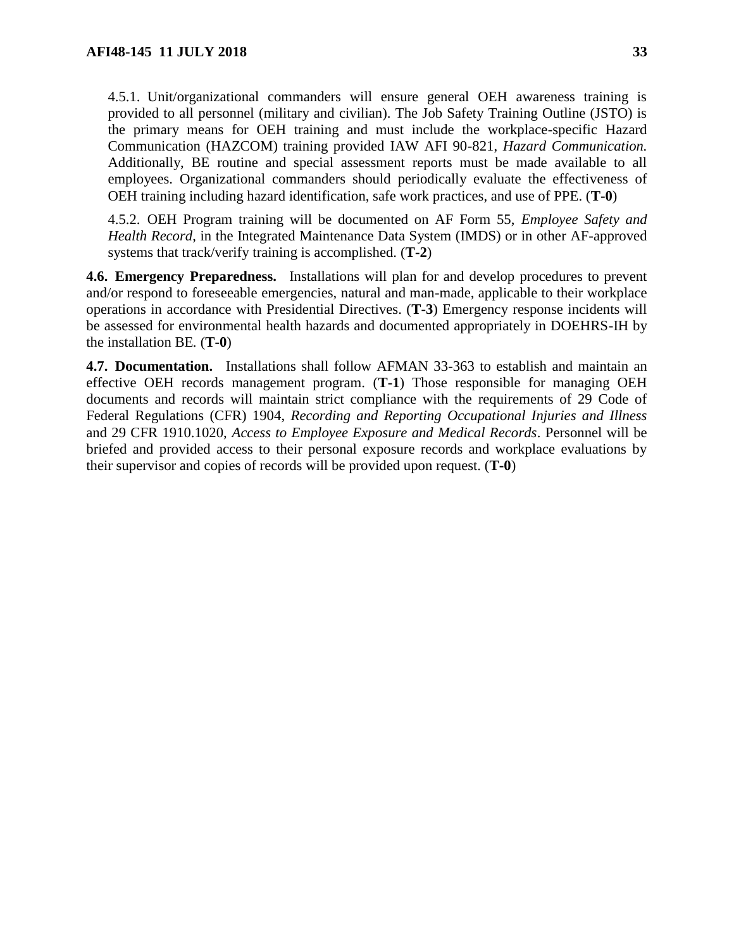4.5.1. Unit/organizational commanders will ensure general OEH awareness training is provided to all personnel (military and civilian). The Job Safety Training Outline (JSTO) is the primary means for OEH training and must include the workplace-specific Hazard Communication (HAZCOM) training provided IAW AFI 90-821, *Hazard Communication.*  Additionally, BE routine and special assessment reports must be made available to all employees. Organizational commanders should periodically evaluate the effectiveness of OEH training including hazard identification, safe work practices, and use of PPE. (**T-0**)

4.5.2. OEH Program training will be documented on AF Form 55, *Employee Safety and Health Record*, in the Integrated Maintenance Data System (IMDS) or in other AF-approved systems that track/verify training is accomplished. (**T-2**)

<span id="page-32-0"></span>**4.6. Emergency Preparedness.** Installations will plan for and develop procedures to prevent and/or respond to foreseeable emergencies, natural and man-made, applicable to their workplace operations in accordance with Presidential Directives. (**T-3**) Emergency response incidents will be assessed for environmental health hazards and documented appropriately in DOEHRS-IH by the installation BE*.* (**T-0**)

<span id="page-32-1"></span>**4.7. Documentation.** Installations shall follow AFMAN 33-363 to establish and maintain an effective OEH records management program. (**T-1**) Those responsible for managing OEH documents and records will maintain strict compliance with the requirements of 29 Code of Federal Regulations (CFR) 1904, *Recording and Reporting Occupational Injuries and Illness*  and 29 CFR 1910.1020, *Access to Employee Exposure and Medical Records*. Personnel will be briefed and provided access to their personal exposure records and workplace evaluations by their supervisor and copies of records will be provided upon request. (**T-0**)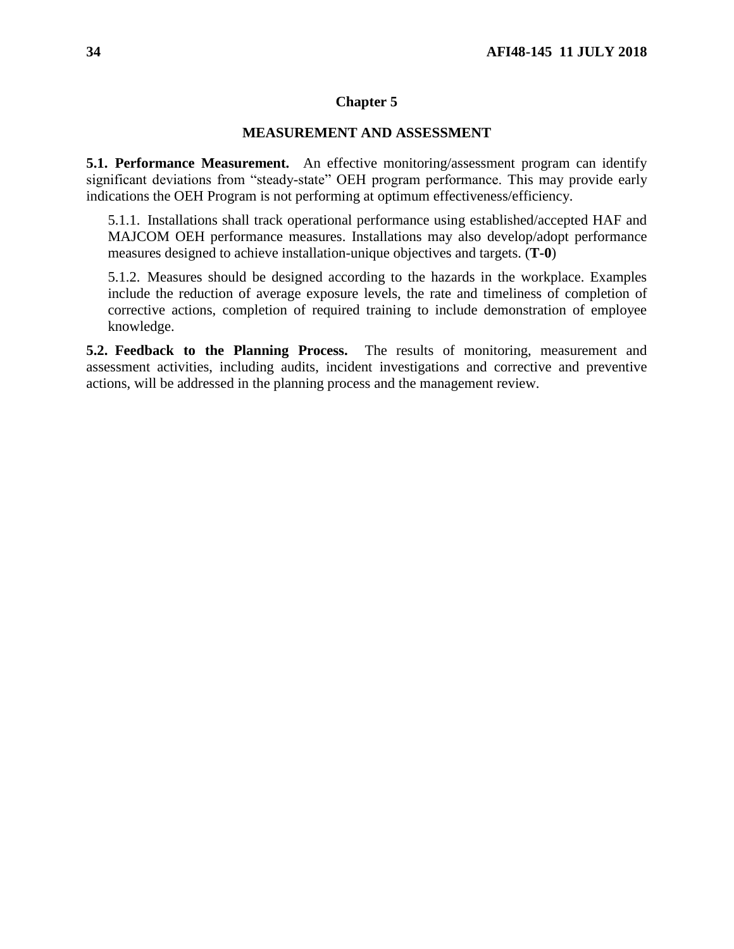#### **Chapter 5**

# **MEASUREMENT AND ASSESSMENT**

<span id="page-33-1"></span><span id="page-33-0"></span>**5.1. Performance Measurement.** An effective monitoring/assessment program can identify significant deviations from "steady-state" OEH program performance. This may provide early indications the OEH Program is not performing at optimum effectiveness/efficiency.

5.1.1. Installations shall track operational performance using established/accepted HAF and MAJCOM OEH performance measures. Installations may also develop/adopt performance measures designed to achieve installation-unique objectives and targets. (**T-0**)

5.1.2. Measures should be designed according to the hazards in the workplace. Examples include the reduction of average exposure levels, the rate and timeliness of completion of corrective actions, completion of required training to include demonstration of employee knowledge.

<span id="page-33-2"></span>**5.2. Feedback to the Planning Process.** The results of monitoring, measurement and assessment activities, including audits, incident investigations and corrective and preventive actions, will be addressed in the planning process and the management review.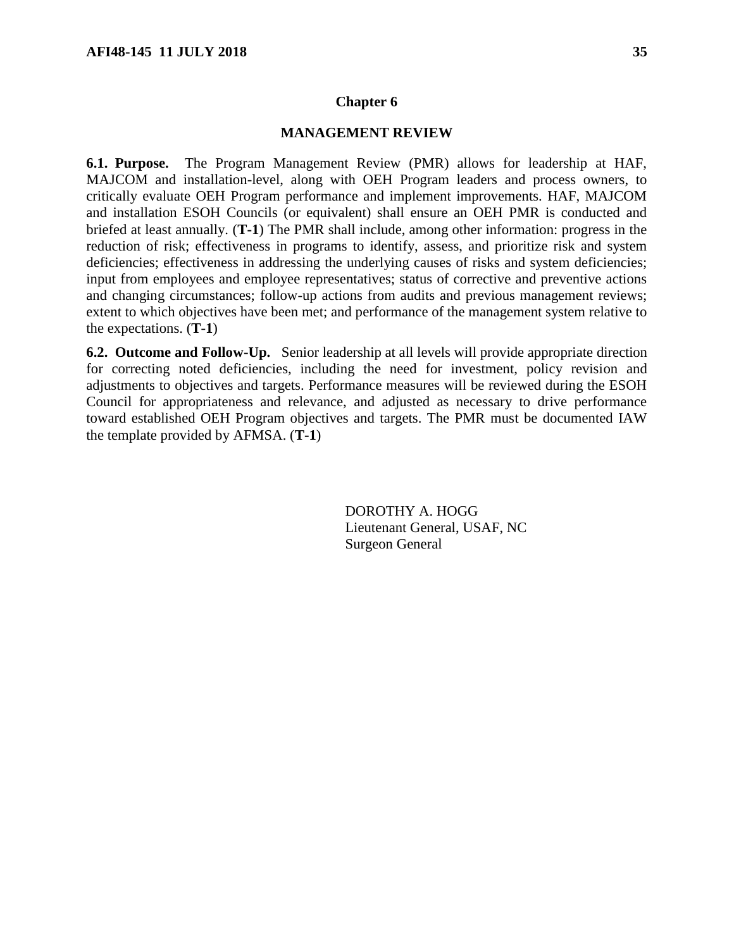#### **Chapter 6**

#### **MANAGEMENT REVIEW**

<span id="page-34-1"></span><span id="page-34-0"></span>**6.1. Purpose.** The Program Management Review (PMR) allows for leadership at HAF, MAJCOM and installation-level, along with OEH Program leaders and process owners, to critically evaluate OEH Program performance and implement improvements. HAF, MAJCOM and installation ESOH Councils (or equivalent) shall ensure an OEH PMR is conducted and briefed at least annually. (**T-1**) The PMR shall include, among other information: progress in the reduction of risk; effectiveness in programs to identify, assess, and prioritize risk and system deficiencies; effectiveness in addressing the underlying causes of risks and system deficiencies; input from employees and employee representatives; status of corrective and preventive actions and changing circumstances; follow-up actions from audits and previous management reviews; extent to which objectives have been met; and performance of the management system relative to the expectations. (**T-1**)

<span id="page-34-2"></span>**6.2. Outcome and Follow-Up.** Senior leadership at all levels will provide appropriate direction for correcting noted deficiencies, including the need for investment, policy revision and adjustments to objectives and targets. Performance measures will be reviewed during the ESOH Council for appropriateness and relevance, and adjusted as necessary to drive performance toward established OEH Program objectives and targets. The PMR must be documented IAW the template provided by AFMSA. (**T-1**)

> DOROTHY A. HOGG Lieutenant General, USAF, NC Surgeon General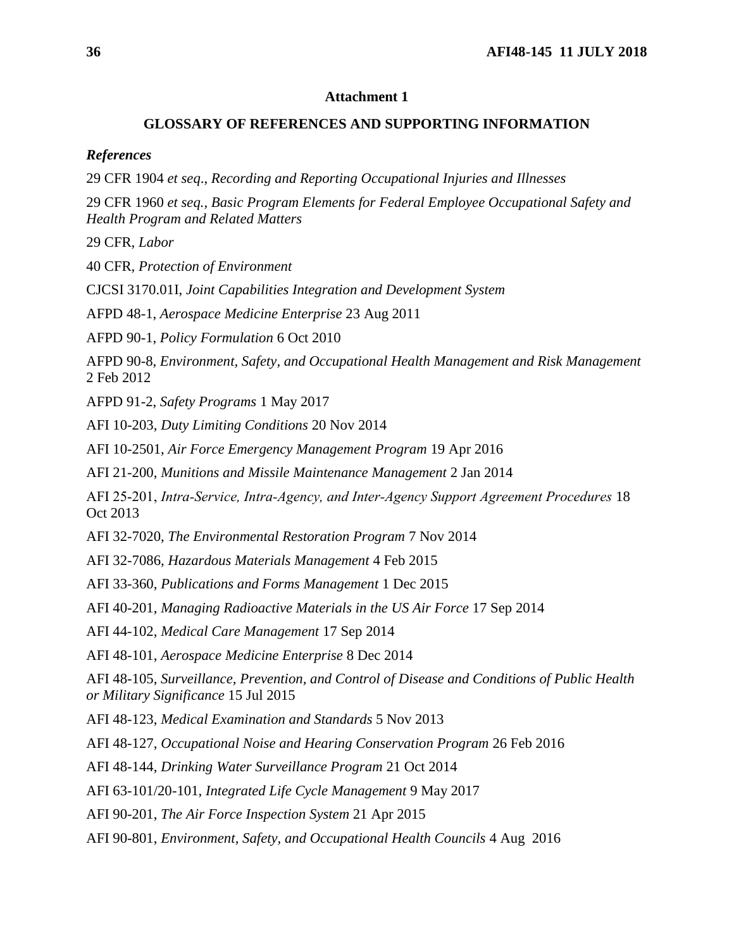#### **Attachment 1**

#### **GLOSSARY OF REFERENCES AND SUPPORTING INFORMATION**

<span id="page-35-0"></span>*References*

29 CFR 1904 *et seq*., *Recording and Reporting Occupational Injuries and Illnesses*

29 CFR 1960 *et seq., Basic Program Elements for Federal Employee Occupational Safety and Health Program and Related Matters*

29 CFR, *Labor*

40 CFR, *Protection of Environment*

CJCSI 3170.01I, *Joint Capabilities Integration and Development System*

AFPD 48-1, *Aerospace Medicine Enterprise* 23 Aug 2011

AFPD 90-1, *Policy Formulation* 6 Oct 2010

AFPD 90-8, *Environment, Safety, and Occupational Health Management and Risk Management* 2 Feb 2012

AFPD 91-2, *Safety Programs* 1 May 2017

AFI 10-203, *Duty Limiting Conditions* 20 Nov 2014

AFI 10-2501, *Air Force Emergency Management Program* 19 Apr 2016

AFI 21-200, *Munitions and Missile Maintenance Management* 2 Jan 2014

AFI 25‐201, *Intra‐Service, Intra‐Agency, and Inter‐Agency Support Agreement Procedures* 18 Oct 2013

AFI 32-7020, *The Environmental Restoration Program* 7 Nov 2014

AFI 32-7086, *Hazardous Materials Management* 4 Feb 2015

AFI 33-360, *Publications and Forms Management* 1 Dec 2015

AFI 40-201, *Managing Radioactive Materials in the US Air Force* 17 Sep 2014

AFI 44-102, *Medical Care Management* 17 Sep 2014

AFI 48-101, *Aerospace Medicine Enterprise* 8 Dec 2014

AFI 48-105, *Surveillance, Prevention, and Control of Disease and Conditions of Public Health or Military Significance* 15 Jul 2015

AFI 48-123, *Medical Examination and Standards* 5 Nov 2013

AFI 48-127, *Occupational Noise and Hearing Conservation Program* 26 Feb 2016

AFI 48-144, *Drinking Water Surveillance Program* 21 Oct 2014

AFI 63-101/20-101, *Integrated Life Cycle Management* 9 May 2017

AFI 90-201, *The Air Force Inspection System* 21 Apr 2015

AFI 90-801, *Environment, Safety, and Occupational Health Councils* 4 Aug 2016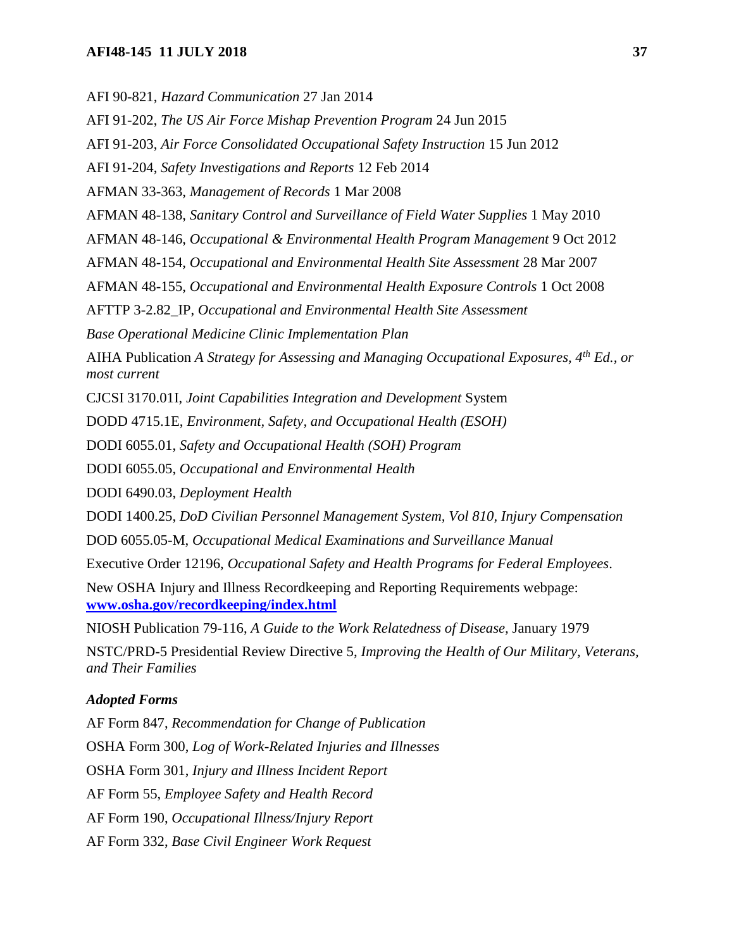#### **AFI48-145 11 JULY 2018 37**

AFI 90-821, *Hazard Communication* 27 Jan 2014

AFI 91-202, *The US Air Force Mishap Prevention Program* 24 Jun 2015

AFI 91-203, *Air Force Consolidated Occupational Safety Instruction* 15 Jun 2012

AFI 91-204, *Safety Investigations and Reports* 12 Feb 2014

AFMAN 33-363, *Management of Records* 1 Mar 2008

AFMAN 48-138, *Sanitary Control and Surveillance of Field Water Supplies* 1 May 2010

AFMAN 48-146, *Occupational & Environmental Health Program Management* 9 Oct 2012

AFMAN 48-154, *Occupational and Environmental Health Site Assessment* 28 Mar 2007

AFMAN 48-155, *Occupational and Environmental Health Exposure Controls* 1 Oct 2008

AFTTP 3-2.82\_IP, *Occupational and Environmental Health Site Assessment*

*Base Operational Medicine Clinic Implementation Plan*

AIHA Publication *A Strategy for Assessing and Managing Occupational Exposures, 4th Ed., or most current*

CJCSI 3170.01I, *Joint Capabilities Integration and Development* System

DODD 4715.1E, *Environment, Safety, and Occupational Health (ESOH)*

DODI 6055.01, *Safety and Occupational Health (SOH) Program*

DODI 6055.05, *Occupational and Environmental Health*

DODI 6490.03, *Deployment Health*

DODI 1400.25, *DoD Civilian Personnel Management System, Vol 810, Injury Compensation*

DOD 6055.05-M, *Occupational Medical Examinations and Surveillance Manual*

Executive Order 12196, *Occupational Safety and Health Programs for Federal Employees*.

New OSHA Injury and Illness Recordkeeping and Reporting Requirements webpage: **[www.osha.gov/recordkeeping/index.html](http://www.osha.gov/recordkeeping/index.html)**

NIOSH Publication 79-116, *A Guide to the Work Relatedness of Disease,* January 1979

NSTC/PRD-5 Presidential Review Directive 5, *Improving the Health of Our Military, Veterans, and Their Families*

#### *Adopted Forms*

AF Form 847, *Recommendation for Change of Publication*  OSHA Form 300, *Log of Work-Related Injuries and Illnesses*  OSHA Form 301, *Injury and Illness Incident Report* AF Form 55, *Employee Safety and Health Record* AF Form 190, *Occupational Illness/Injury Report* AF Form 332, *Base Civil Engineer Work Request*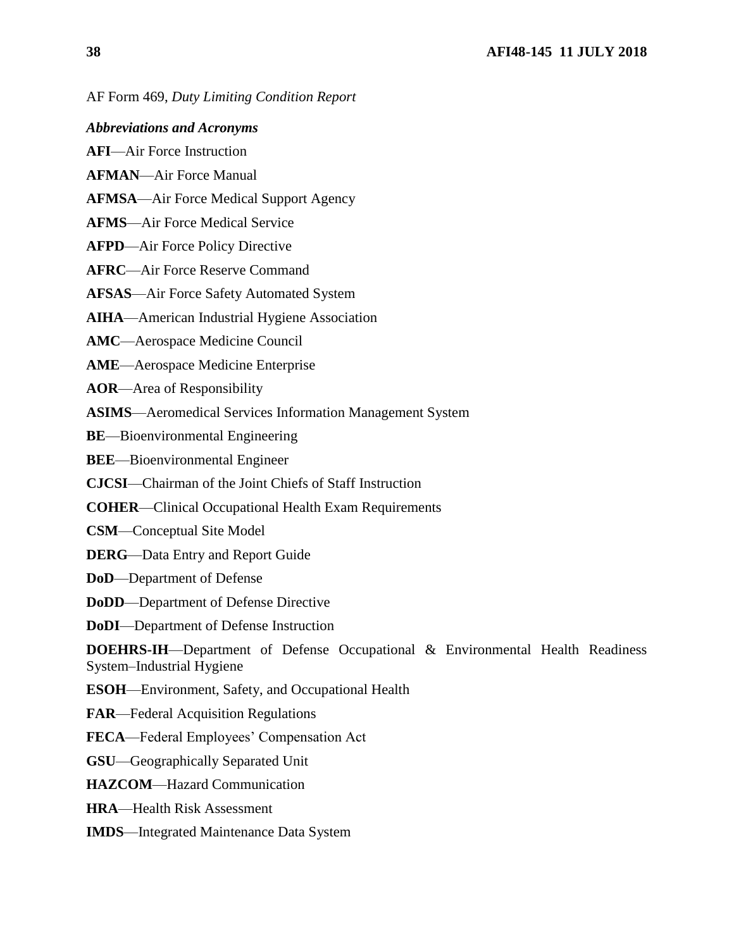*Abbreviations and Acronyms*

**AFI**—Air Force Instruction

**AFMAN**—Air Force Manual

**AFMSA**—Air Force Medical Support Agency

**AFMS**—Air Force Medical Service

**AFPD**—Air Force Policy Directive

**AFRC**—Air Force Reserve Command

**AFSAS**—Air Force Safety Automated System

**AIHA**—American Industrial Hygiene Association

**AMC**—Aerospace Medicine Council

**AME**—Aerospace Medicine Enterprise

**AOR**—Area of Responsibility

**ASIMS**—Aeromedical Services Information Management System

**BE**—Bioenvironmental Engineering

**BEE**—Bioenvironmental Engineer

**CJCSI**—Chairman of the Joint Chiefs of Staff Instruction

**COHER**—Clinical Occupational Health Exam Requirements

**CSM**—Conceptual Site Model

**DERG**—Data Entry and Report Guide

**DoD**—Department of Defense

**DoDD**—Department of Defense Directive

**DoDI**—Department of Defense Instruction

**DOEHRS-IH**—Department of Defense Occupational & Environmental Health Readiness System–Industrial Hygiene

**ESOH**—Environment, Safety, and Occupational Health

**FAR**—Federal Acquisition Regulations

**FECA**—Federal Employees' Compensation Act

**GSU**—Geographically Separated Unit

**HAZCOM**—Hazard Communication

**HRA**—Health Risk Assessment

**IMDS**—Integrated Maintenance Data System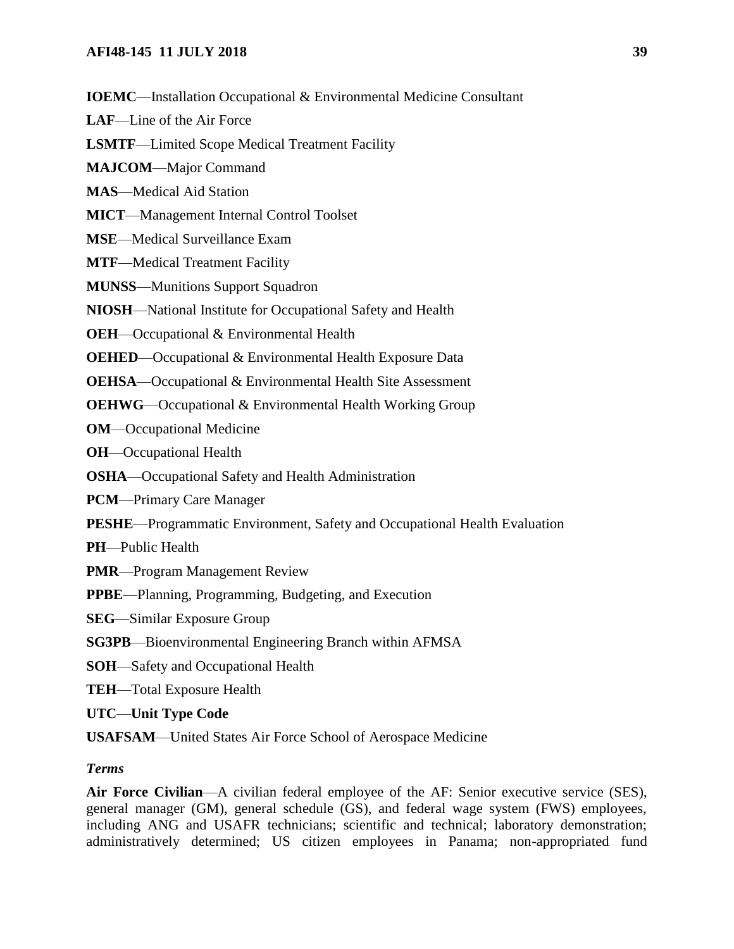**IOEMC**—Installation Occupational & Environmental Medicine Consultant

**LAF**—Line of the Air Force

**LSMTF**—Limited Scope Medical Treatment Facility

**MAJCOM**—Major Command

**MAS**—Medical Aid Station

**MICT**—Management Internal Control Toolset

**MSE**—Medical Surveillance Exam

**MTF**—Medical Treatment Facility

**MUNSS**—Munitions Support Squadron

**NIOSH**—National Institute for Occupational Safety and Health

**OEH**—Occupational & Environmental Health

**OEHED**—Occupational & Environmental Health Exposure Data

**OEHSA**—Occupational & Environmental Health Site Assessment

**OEHWG**—Occupational & Environmental Health Working Group

**OM**—Occupational Medicine

**OH**—Occupational Health

**OSHA**—Occupational Safety and Health Administration

**PCM**—Primary Care Manager

**PESHE**—Programmatic Environment, Safety and Occupational Health Evaluation

**PH**—Public Health

**PMR**—Program Management Review

**PPBE**—Planning, Programming, Budgeting, and Execution

**SEG**—Similar Exposure Group

**SG3PB**—Bioenvironmental Engineering Branch within AFMSA

**SOH**—Safety and Occupational Health

**TEH**—Total Exposure Health

**UTC**—**Unit Type Code**

**USAFSAM**—United States Air Force School of Aerospace Medicine

#### *Terms*

**Air Force Civilian**—A civilian federal employee of the AF: Senior executive service (SES), general manager (GM), general schedule (GS), and federal wage system (FWS) employees, including ANG and USAFR technicians; scientific and technical; laboratory demonstration; administratively determined; US citizen employees in Panama; non-appropriated fund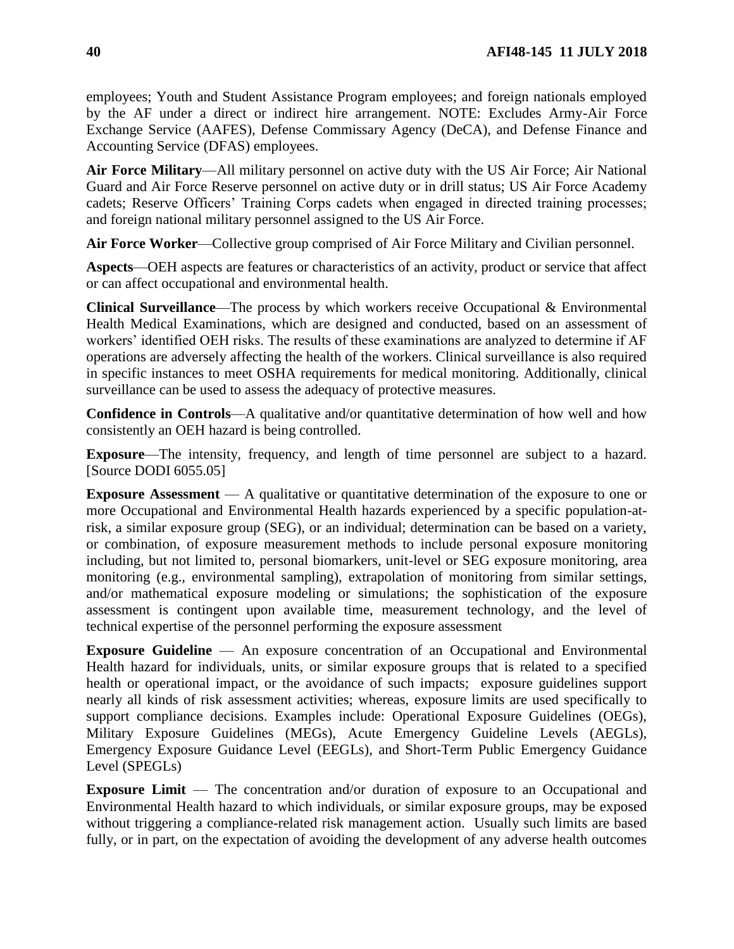employees; Youth and Student Assistance Program employees; and foreign nationals employed by the AF under a direct or indirect hire arrangement. NOTE: Excludes Army-Air Force Exchange Service (AAFES), Defense Commissary Agency (DeCA), and Defense Finance and Accounting Service (DFAS) employees.

**Air Force Military**—All military personnel on active duty with the US Air Force; Air National Guard and Air Force Reserve personnel on active duty or in drill status; US Air Force Academy cadets; Reserve Officers' Training Corps cadets when engaged in directed training processes; and foreign national military personnel assigned to the US Air Force.

**Air Force Worker**—Collective group comprised of Air Force Military and Civilian personnel.

**Aspects**—OEH aspects are features or characteristics of an activity, product or service that affect or can affect occupational and environmental health.

**Clinical Surveillance**—The process by which workers receive Occupational & Environmental Health Medical Examinations, which are designed and conducted, based on an assessment of workers' identified OEH risks. The results of these examinations are analyzed to determine if AF operations are adversely affecting the health of the workers. Clinical surveillance is also required in specific instances to meet OSHA requirements for medical monitoring. Additionally, clinical surveillance can be used to assess the adequacy of protective measures.

**Confidence in Controls**—A qualitative and/or quantitative determination of how well and how consistently an OEH hazard is being controlled.

**Exposure**—The intensity, frequency, and length of time personnel are subject to a hazard. [Source DODI 6055.05]

**Exposure Assessment** — A qualitative or quantitative determination of the exposure to one or more Occupational and Environmental Health hazards experienced by a specific population-atrisk, a similar exposure group (SEG), or an individual; determination can be based on a variety, or combination, of exposure measurement methods to include personal exposure monitoring including, but not limited to, personal biomarkers, unit-level or SEG exposure monitoring, area monitoring (e.g., environmental sampling), extrapolation of monitoring from similar settings, and/or mathematical exposure modeling or simulations; the sophistication of the exposure assessment is contingent upon available time, measurement technology, and the level of technical expertise of the personnel performing the exposure assessment

**Exposure Guideline** — An exposure concentration of an Occupational and Environmental Health hazard for individuals, units, or similar exposure groups that is related to a specified health or operational impact, or the avoidance of such impacts; exposure guidelines support nearly all kinds of risk assessment activities; whereas, exposure limits are used specifically to support compliance decisions. Examples include: Operational Exposure Guidelines (OEGs), Military Exposure Guidelines (MEGs), Acute Emergency Guideline Levels (AEGLs), Emergency Exposure Guidance Level (EEGLs), and Short-Term Public Emergency Guidance Level (SPEGLs)

**Exposure Limit** — The concentration and/or duration of exposure to an Occupational and Environmental Health hazard to which individuals, or similar exposure groups, may be exposed without triggering a compliance-related risk management action. Usually such limits are based fully, or in part, on the expectation of avoiding the development of any adverse health outcomes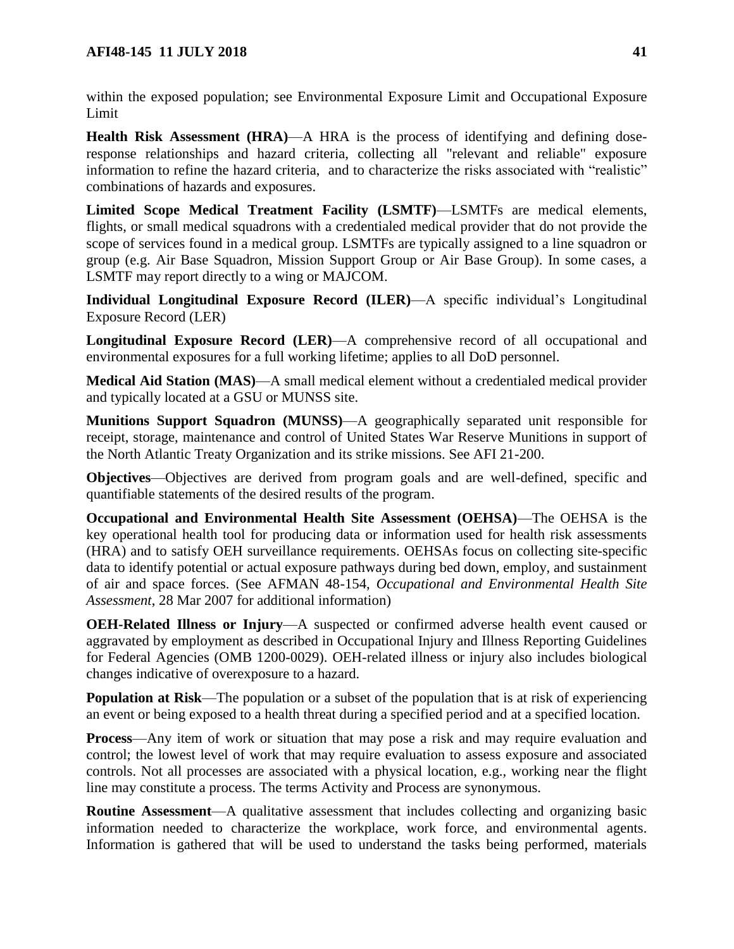within the exposed population; see Environmental Exposure Limit and Occupational Exposure Limit

**Health Risk Assessment (HRA)**—A HRA is the process of identifying and defining doseresponse relationships and hazard criteria, collecting all "relevant and reliable" exposure information to refine the hazard criteria, and to characterize the risks associated with "realistic" combinations of hazards and exposures.

**Limited Scope Medical Treatment Facility (LSMTF)**—LSMTFs are medical elements, flights, or small medical squadrons with a credentialed medical provider that do not provide the scope of services found in a medical group. LSMTFs are typically assigned to a line squadron or group (e.g. Air Base Squadron, Mission Support Group or Air Base Group). In some cases, a LSMTF may report directly to a wing or MAJCOM.

**Individual Longitudinal Exposure Record (ILER)**—A specific individual's Longitudinal Exposure Record (LER)

**Longitudinal Exposure Record (LER)**—A comprehensive record of all occupational and environmental exposures for a full working lifetime; applies to all DoD personnel.

**Medical Aid Station (MAS)**—A small medical element without a credentialed medical provider and typically located at a GSU or MUNSS site.

**Munitions Support Squadron (MUNSS)**—A geographically separated unit responsible for receipt, storage, maintenance and control of United States War Reserve Munitions in support of the North Atlantic Treaty Organization and its strike missions. See AFI 21-200.

**Objectives**—Objectives are derived from program goals and are well-defined, specific and quantifiable statements of the desired results of the program.

**Occupational and Environmental Health Site Assessment (OEHSA)**—The OEHSA is the key operational health tool for producing data or information used for health risk assessments (HRA) and to satisfy OEH surveillance requirements. OEHSAs focus on collecting site-specific data to identify potential or actual exposure pathways during bed down, employ, and sustainment of air and space forces. (See AFMAN 48-154, *Occupational and Environmental Health Site Assessment*, 28 Mar 2007 for additional information)

**OEH-Related Illness or Injury**—A suspected or confirmed adverse health event caused or aggravated by employment as described in Occupational Injury and Illness Reporting Guidelines for Federal Agencies (OMB 1200-0029). OEH-related illness or injury also includes biological changes indicative of overexposure to a hazard.

**Population at Risk**—The population or a subset of the population that is at risk of experiencing an event or being exposed to a health threat during a specified period and at a specified location.

**Process**—Any item of work or situation that may pose a risk and may require evaluation and control; the lowest level of work that may require evaluation to assess exposure and associated controls. Not all processes are associated with a physical location, e.g., working near the flight line may constitute a process. The terms Activity and Process are synonymous.

**Routine Assessment**—A qualitative assessment that includes collecting and organizing basic information needed to characterize the workplace, work force, and environmental agents. Information is gathered that will be used to understand the tasks being performed, materials